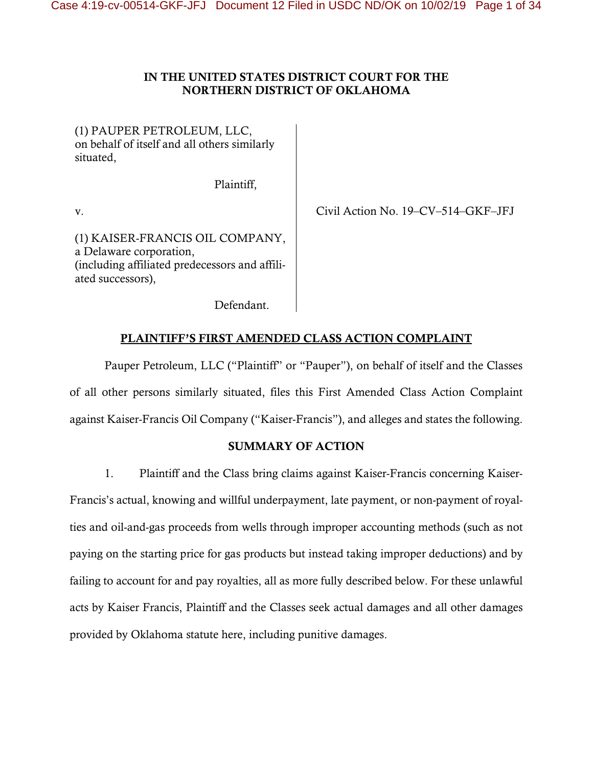# IN THE UNITED STATES DISTRICT COURT FOR THE NORTHERN DISTRICT OF OKLAHOMA

(1) PAUPER PETROLEUM, LLC, on behalf of itself and all others similarly situated,

Plaintiff,

v.

Civil Action No. 19–CV–514–GKF–JFJ

(1) KAISER-FRANCIS OIL COMPANY, a Delaware corporation, (including affiliated predecessors and affiliated successors),

Defendant.

# PLAINTIFF'S FIRST AMENDED CLASS ACTION COMPLAINT

Pauper Petroleum, LLC ("Plaintiff" or "Pauper"), on behalf of itself and the Classes of all other persons similarly situated, files this First Amended Class Action Complaint against Kaiser-Francis Oil Company ("Kaiser-Francis"), and alleges and states the following.

# SUMMARY OF ACTION

1. Plaintiff and the Class bring claims against Kaiser-Francis concerning Kaiser-Francis's actual, knowing and willful underpayment, late payment, or non-payment of royalties and oil-and-gas proceeds from wells through improper accounting methods (such as not paying on the starting price for gas products but instead taking improper deductions) and by failing to account for and pay royalties, all as more fully described below. For these unlawful acts by Kaiser Francis, Plaintiff and the Classes seek actual damages and all other damages provided by Oklahoma statute here, including punitive damages.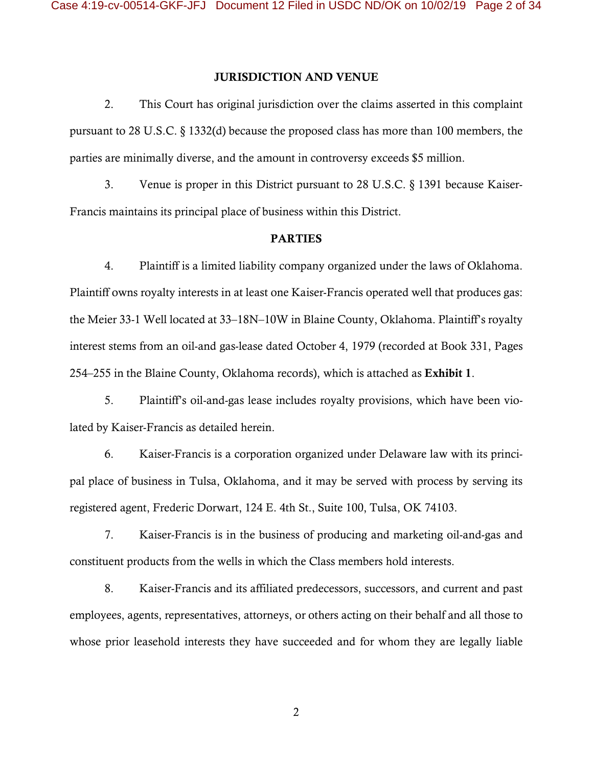#### JURISDICTION AND VENUE

2. This Court has original jurisdiction over the claims asserted in this complaint pursuant to 28 U.S.C. § 1332(d) because the proposed class has more than 100 members, the parties are minimally diverse, and the amount in controversy exceeds \$5 million.

3. Venue is proper in this District pursuant to 28 U.S.C. § 1391 because Kaiser-Francis maintains its principal place of business within this District.

#### PARTIES

4. Plaintiff is a limited liability company organized under the laws of Oklahoma. Plaintiff owns royalty interests in at least one Kaiser-Francis operated well that produces gas: the Meier 33-1 Well located at 33–18N–10W in Blaine County, Oklahoma. Plaintiff's royalty interest stems from an oil-and gas-lease dated October 4, 1979 (recorded at Book 331, Pages 254–255 in the Blaine County, Oklahoma records), which is attached as Exhibit 1.

5. Plaintiff's oil-and-gas lease includes royalty provisions, which have been violated by Kaiser-Francis as detailed herein.

6. Kaiser-Francis is a corporation organized under Delaware law with its principal place of business in Tulsa, Oklahoma, and it may be served with process by serving its registered agent, Frederic Dorwart, 124 E. 4th St., Suite 100, Tulsa, OK 74103.

7. Kaiser-Francis is in the business of producing and marketing oil-and-gas and constituent products from the wells in which the Class members hold interests.

8. Kaiser-Francis and its affiliated predecessors, successors, and current and past employees, agents, representatives, attorneys, or others acting on their behalf and all those to whose prior leasehold interests they have succeeded and for whom they are legally liable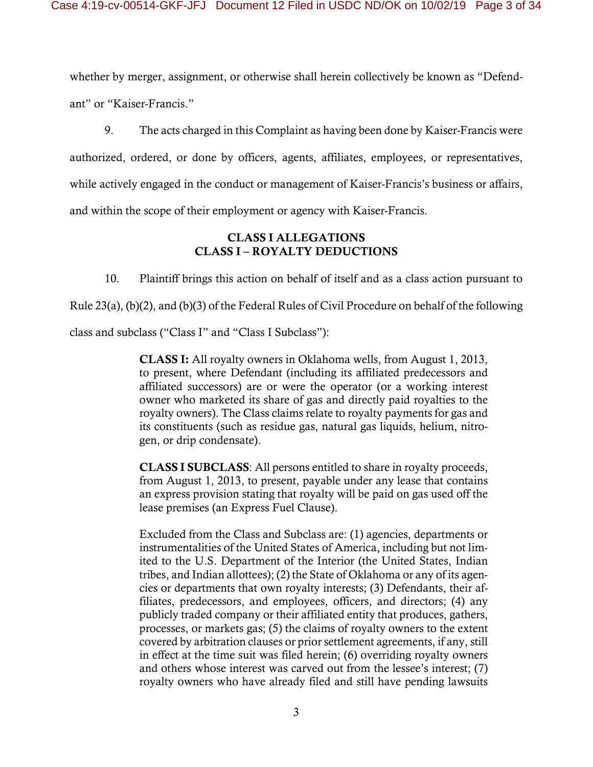whether by merger, assignment, or otherwise shall herein collectively be known as "Defendant" or "Kaiser-Francis."

9. The acts charged in this Complaint as having been done by Kaiser-Francis were authorized, ordered, or done by officers, agents, affiliates, employees, or representatives, while actively engaged in the conduct or management of Kaiser-Francis's business or affairs, and within the scope of their employment or agency with Kaiser-Francis.

# CLASS I ALLEGATIONS CLASS I – ROYALTY DEDUCTIONS

10. Plaintiff brings this action on behalf of itself and as a class action pursuant to

Rule 23(a), (b)(2), and (b)(3) of the Federal Rules of Civil Procedure on behalf of the following

class and subclass ("Class I" and "Class I Subclass"):

CLASS I: All royalty owners in Oklahoma wells, from August 1, 2013, to present, where Defendant (including its affiliated predecessors and affiliated successors) are or were the operator (or a working interest owner who marketed its share of gas and directly paid royalties to the royalty owners). The Class claims relate to royalty payments for gas and its constituents (such as residue gas, natural gas liquids, helium, nitrogen, or drip condensate).

CLASS I SUBCLASS: All persons entitled to share in royalty proceeds, from August 1, 2013, to present, payable under any lease that contains an express provision stating that royalty will be paid on gas used off the lease premises (an Express Fuel Clause).

Excluded from the Class and Subclass are: (1) agencies, departments or instrumentalities of the United States of America, including but not limited to the U.S. Department of the Interior (the United States, Indian tribes, and Indian allottees); (2) the State of Oklahoma or any of its agencies or departments that own royalty interests; (3) Defendants, their affiliates, predecessors, and employees, officers, and directors; (4) any publicly traded company or their affiliated entity that produces, gathers, processes, or markets gas; (5) the claims of royalty owners to the extent covered by arbitration clauses or prior settlement agreements, if any, still in effect at the time suit was filed herein; (6) overriding royalty owners and others whose interest was carved out from the lessee's interest; (7) royalty owners who have already filed and still have pending lawsuits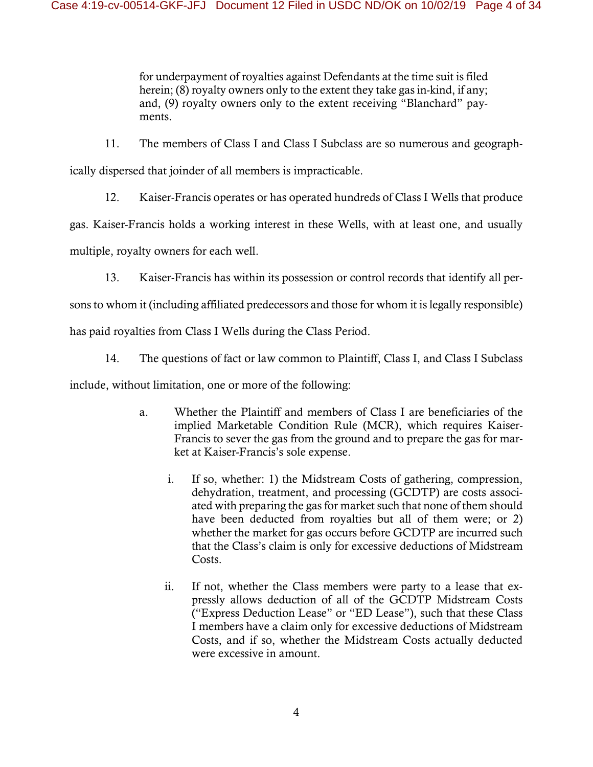for underpayment of royalties against Defendants at the time suit is filed herein; (8) royalty owners only to the extent they take gas in-kind, if any; and, (9) royalty owners only to the extent receiving "Blanchard" payments.

11. The members of Class I and Class I Subclass are so numerous and geograph-

ically dispersed that joinder of all members is impracticable.

12. Kaiser-Francis operates or has operated hundreds of Class I Wells that produce

gas. Kaiser-Francis holds a working interest in these Wells, with at least one, and usually

multiple, royalty owners for each well.

13. Kaiser-Francis has within its possession or control records that identify all per-

sons to whom it (including affiliated predecessors and those for whom it is legally responsible)

has paid royalties from Class I Wells during the Class Period.

14. The questions of fact or law common to Plaintiff, Class I, and Class I Subclass

include, without limitation, one or more of the following:

- a. Whether the Plaintiff and members of Class I are beneficiaries of the implied Marketable Condition Rule (MCR), which requires Kaiser-Francis to sever the gas from the ground and to prepare the gas for market at Kaiser-Francis's sole expense.
	- i. If so, whether: 1) the Midstream Costs of gathering, compression, dehydration, treatment, and processing (GCDTP) are costs associated with preparing the gas for market such that none of them should have been deducted from royalties but all of them were; or 2) whether the market for gas occurs before GCDTP are incurred such that the Class's claim is only for excessive deductions of Midstream Costs.
	- ii. If not, whether the Class members were party to a lease that expressly allows deduction of all of the GCDTP Midstream Costs ("Express Deduction Lease" or "ED Lease"), such that these Class I members have a claim only for excessive deductions of Midstream Costs, and if so, whether the Midstream Costs actually deducted were excessive in amount.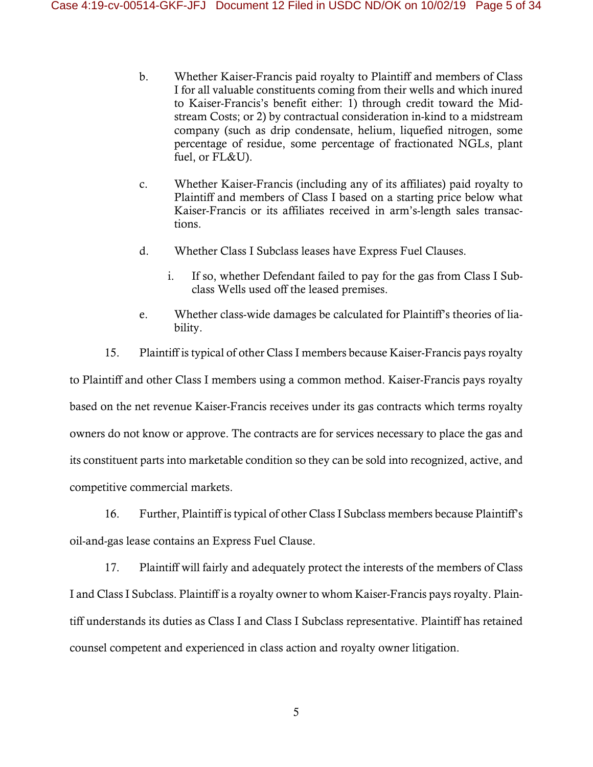- b. Whether Kaiser-Francis paid royalty to Plaintiff and members of Class I for all valuable constituents coming from their wells and which inured to Kaiser-Francis's benefit either: 1) through credit toward the Midstream Costs; or 2) by contractual consideration in-kind to a midstream company (such as drip condensate, helium, liquefied nitrogen, some percentage of residue, some percentage of fractionated NGLs, plant fuel, or FL&U).
- c. Whether Kaiser-Francis (including any of its affiliates) paid royalty to Plaintiff and members of Class I based on a starting price below what Kaiser-Francis or its affiliates received in arm's-length sales transactions.
- d. Whether Class I Subclass leases have Express Fuel Clauses.
	- i. If so, whether Defendant failed to pay for the gas from Class I Subclass Wells used off the leased premises.
- e. Whether class-wide damages be calculated for Plaintiff's theories of liability.

15. Plaintiff is typical of other Class I members because Kaiser-Francis pays royalty to Plaintiff and other Class I members using a common method. Kaiser-Francis pays royalty based on the net revenue Kaiser-Francis receives under its gas contracts which terms royalty owners do not know or approve. The contracts are for services necessary to place the gas and its constituent parts into marketable condition so they can be sold into recognized, active, and competitive commercial markets.

16. Further, Plaintiff is typical of other Class I Subclass members because Plaintiff's oil-and-gas lease contains an Express Fuel Clause.

17. Plaintiff will fairly and adequately protect the interests of the members of Class I and Class I Subclass. Plaintiff is a royalty owner to whom Kaiser-Francis pays royalty. Plaintiff understands its duties as Class I and Class I Subclass representative. Plaintiff has retained counsel competent and experienced in class action and royalty owner litigation.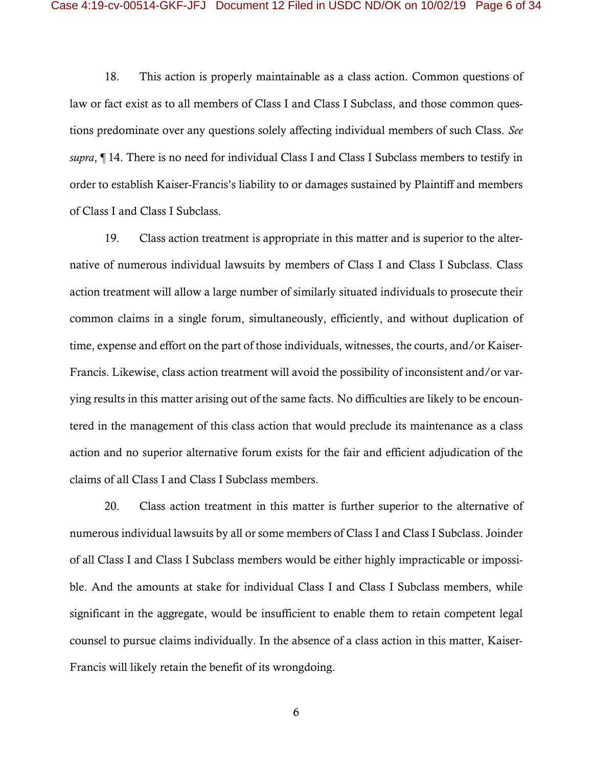18. This action is properly maintainable as a class action. Common questions of law or fact exist as to all members of Class I and Class I Subclass, and those common questions predominate over any questions solely affecting individual members of such Class. *See supra*, *¶* 14. There is no need for individual Class I and Class I Subclass members to testify in order to establish Kaiser-Francis's liability to or damages sustained by Plaintiff and members of Class I and Class I Subclass.

19. Class action treatment is appropriate in this matter and is superior to the alternative of numerous individual lawsuits by members of Class I and Class I Subclass. Class action treatment will allow a large number of similarly situated individuals to prosecute their common claims in a single forum, simultaneously, efficiently, and without duplication of time, expense and effort on the part of those individuals, witnesses, the courts, and/or Kaiser-Francis. Likewise, class action treatment will avoid the possibility of inconsistent and/or varying results in this matter arising out of the same facts. No difficulties are likely to be encountered in the management of this class action that would preclude its maintenance as a class action and no superior alternative forum exists for the fair and efficient adjudication of the claims of all Class I and Class I Subclass members.

20. Class action treatment in this matter is further superior to the alternative of numerous individual lawsuits by all or some members of Class I and Class I Subclass. Joinder of all Class I and Class I Subclass members would be either highly impracticable or impossible. And the amounts at stake for individual Class I and Class I Subclass members, while significant in the aggregate, would be insufficient to enable them to retain competent legal counsel to pursue claims individually. In the absence of a class action in this matter, Kaiser-Francis will likely retain the benefit of its wrongdoing.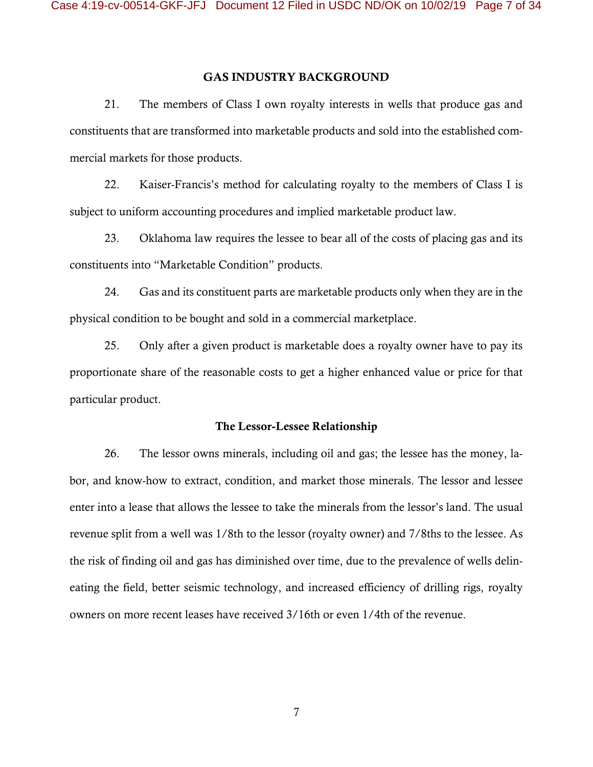### GAS INDUSTRY BACKGROUND

21. The members of Class I own royalty interests in wells that produce gas and constituents that are transformed into marketable products and sold into the established commercial markets for those products.

22. Kaiser-Francis's method for calculating royalty to the members of Class I is subject to uniform accounting procedures and implied marketable product law.

23. Oklahoma law requires the lessee to bear all of the costs of placing gas and its constituents into "Marketable Condition" products.

24. Gas and its constituent parts are marketable products only when they are in the physical condition to be bought and sold in a commercial marketplace.

25. Only after a given product is marketable does a royalty owner have to pay its proportionate share of the reasonable costs to get a higher enhanced value or price for that particular product.

# The Lessor-Lessee Relationship

26. The lessor owns minerals, including oil and gas; the lessee has the money, labor, and know-how to extract, condition, and market those minerals. The lessor and lessee enter into a lease that allows the lessee to take the minerals from the lessor's land. The usual revenue split from a well was 1/8th to the lessor (royalty owner) and 7/8ths to the lessee. As the risk of finding oil and gas has diminished over time, due to the prevalence of wells delineating the field, better seismic technology, and increased efficiency of drilling rigs, royalty owners on more recent leases have received 3/16th or even 1/4th of the revenue.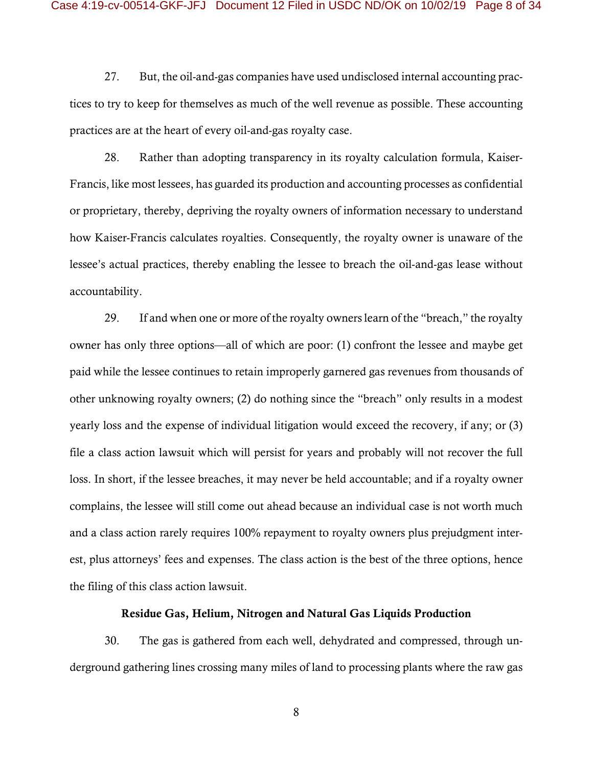27. But, the oil-and-gas companies have used undisclosed internal accounting practices to try to keep for themselves as much of the well revenue as possible. These accounting practices are at the heart of every oil-and-gas royalty case.

28. Rather than adopting transparency in its royalty calculation formula, Kaiser-Francis, like most lessees, has guarded its production and accounting processes as confidential or proprietary, thereby, depriving the royalty owners of information necessary to understand how Kaiser-Francis calculates royalties. Consequently, the royalty owner is unaware of the lessee's actual practices, thereby enabling the lessee to breach the oil-and-gas lease without accountability.

29. If and when one or more of the royalty owners learn of the "breach," the royalty owner has only three options—all of which are poor: (1) confront the lessee and maybe get paid while the lessee continues to retain improperly garnered gas revenues from thousands of other unknowing royalty owners; (2) do nothing since the "breach" only results in a modest yearly loss and the expense of individual litigation would exceed the recovery, if any; or (3) file a class action lawsuit which will persist for years and probably will not recover the full loss. In short, if the lessee breaches, it may never be held accountable; and if a royalty owner complains, the lessee will still come out ahead because an individual case is not worth much and a class action rarely requires 100% repayment to royalty owners plus prejudgment interest, plus attorneys' fees and expenses. The class action is the best of the three options, hence the filing of this class action lawsuit.

# Residue Gas, Helium, Nitrogen and Natural Gas Liquids Production

30. The gas is gathered from each well, dehydrated and compressed, through underground gathering lines crossing many miles of land to processing plants where the raw gas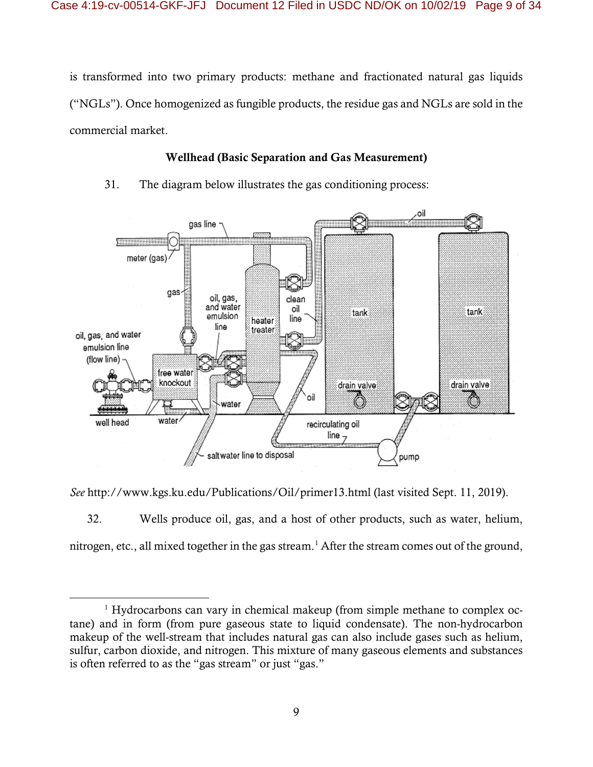is transformed into two primary products: methane and fractionated natural gas liquids ("NGLs"). Once homogenized as fungible products, the residue gas and NGLs are sold in the commercial market.

# Wellhead (Basic Separation and Gas Measurement)

- oil gas line meter (gas) gas oil, gas, clean and water oil tank tank emulsion line heater line treater oil, gas, and water emulsion line (flow line) free water knockout drain valve drain valve ۵il Ō water water well head recirculating oil line  $\frac{1}{2}$ saltwater line to disposal pump
- 31. The diagram below illustrates the gas conditioning process:

*See* http://www.kgs.ku.edu/Publications/Oil/primer13.html (last visited Sept. 11, 2019).

32. Wells produce oil, gas, and a host of other products, such as water, helium, nitrogen, etc., all mixed together in the gas stream.<sup>[1](#page-8-0)</sup> After the stream comes out of the ground,

 $\overline{a}$ 

<span id="page-8-0"></span> $1$  Hydrocarbons can vary in chemical makeup (from simple methane to complex octane) and in form (from pure gaseous state to liquid condensate). The non-hydrocarbon makeup of the well-stream that includes natural gas can also include gases such as helium, sulfur, carbon dioxide, and nitrogen. This mixture of many gaseous elements and substances is often referred to as the "gas stream" or just "gas."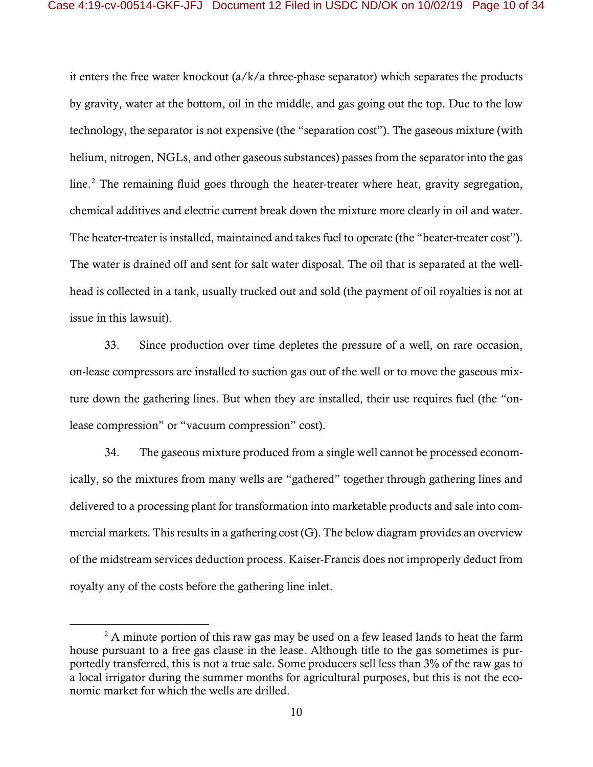it enters the free water knockout (a/k/a three-phase separator) which separates the products by gravity, water at the bottom, oil in the middle, and gas going out the top. Due to the low technology, the separator is not expensive (the "separation cost"). The gaseous mixture (with helium, nitrogen, NGLs, and other gaseous substances) passes from the separator into the gas line.<sup>[2](#page-9-0)</sup> The remaining fluid goes through the heater-treater where heat, gravity segregation, chemical additives and electric current break down the mixture more clearly in oil and water. The heater-treater is installed, maintained and takes fuel to operate (the "heater-treater cost"). The water is drained off and sent for salt water disposal. The oil that is separated at the wellhead is collected in a tank, usually trucked out and sold (the payment of oil royalties is not at issue in this lawsuit).

33. Since production over time depletes the pressure of a well, on rare occasion, on-lease compressors are installed to suction gas out of the well or to move the gaseous mixture down the gathering lines. But when they are installed, their use requires fuel (the "onlease compression" or "vacuum compression" cost).

34. The gaseous mixture produced from a single well cannot be processed economically, so the mixtures from many wells are "gathered" together through gathering lines and delivered to a processing plant for transformation into marketable products and sale into commercial markets. This results in a gathering cost (G). The below diagram provides an overview of the midstream services deduction process. Kaiser-Francis does not improperly deduct from royalty any of the costs before the gathering line inlet.

 $\overline{a}$ 

<span id="page-9-0"></span> $2^2$  A minute portion of this raw gas may be used on a few leased lands to heat the farm house pursuant to a free gas clause in the lease. Although title to the gas sometimes is purportedly transferred, this is not a true sale. Some producers sell less than 3% of the raw gas to a local irrigator during the summer months for agricultural purposes, but this is not the economic market for which the wells are drilled.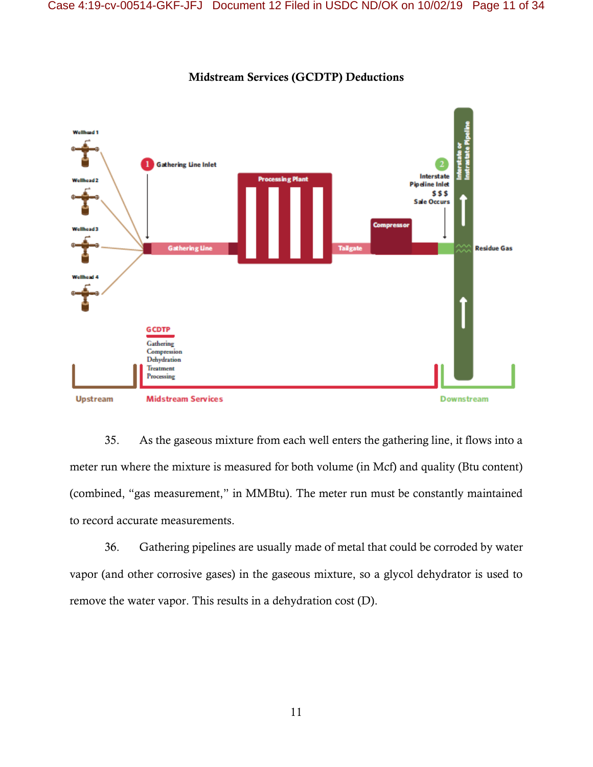

### Midstream Services (GCDTP) Deductions

35. As the gaseous mixture from each well enters the gathering line, it flows into a meter run where the mixture is measured for both volume (in Mcf) and quality (Btu content) (combined, "gas measurement," in MMBtu). The meter run must be constantly maintained to record accurate measurements.

36. Gathering pipelines are usually made of metal that could be corroded by water vapor (and other corrosive gases) in the gaseous mixture, so a glycol dehydrator is used to remove the water vapor. This results in a dehydration cost (D).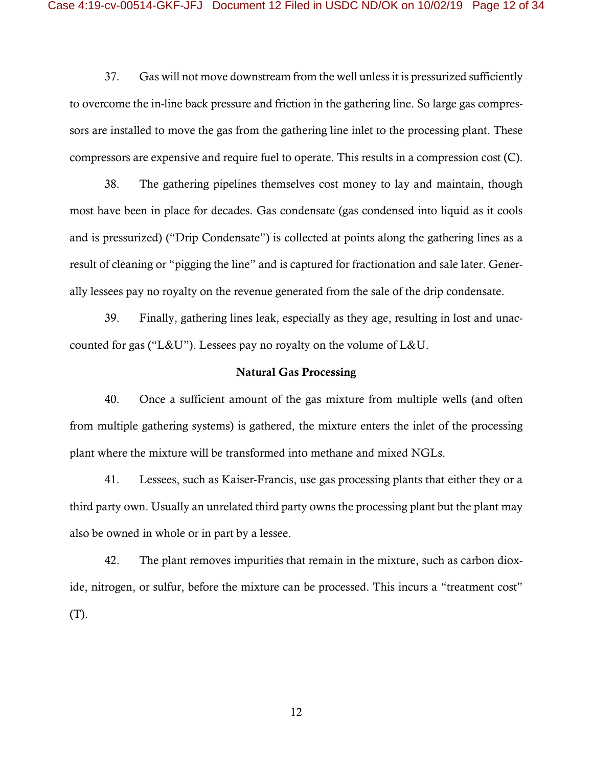37. Gas will not move downstream from the well unless it is pressurized sufficiently to overcome the in-line back pressure and friction in the gathering line. So large gas compressors are installed to move the gas from the gathering line inlet to the processing plant. These compressors are expensive and require fuel to operate. This results in a compression cost (C).

38. The gathering pipelines themselves cost money to lay and maintain, though most have been in place for decades. Gas condensate (gas condensed into liquid as it cools and is pressurized) ("Drip Condensate") is collected at points along the gathering lines as a result of cleaning or "pigging the line" and is captured for fractionation and sale later. Generally lessees pay no royalty on the revenue generated from the sale of the drip condensate.

39. Finally, gathering lines leak, especially as they age, resulting in lost and unaccounted for gas ("L&U"). Lessees pay no royalty on the volume of L&U.

### Natural Gas Processing

40. Once a sufficient amount of the gas mixture from multiple wells (and often from multiple gathering systems) is gathered, the mixture enters the inlet of the processing plant where the mixture will be transformed into methane and mixed NGLs.

41. Lessees, such as Kaiser-Francis, use gas processing plants that either they or a third party own. Usually an unrelated third party owns the processing plant but the plant may also be owned in whole or in part by a lessee.

42. The plant removes impurities that remain in the mixture, such as carbon dioxide, nitrogen, or sulfur, before the mixture can be processed. This incurs a "treatment cost" (T).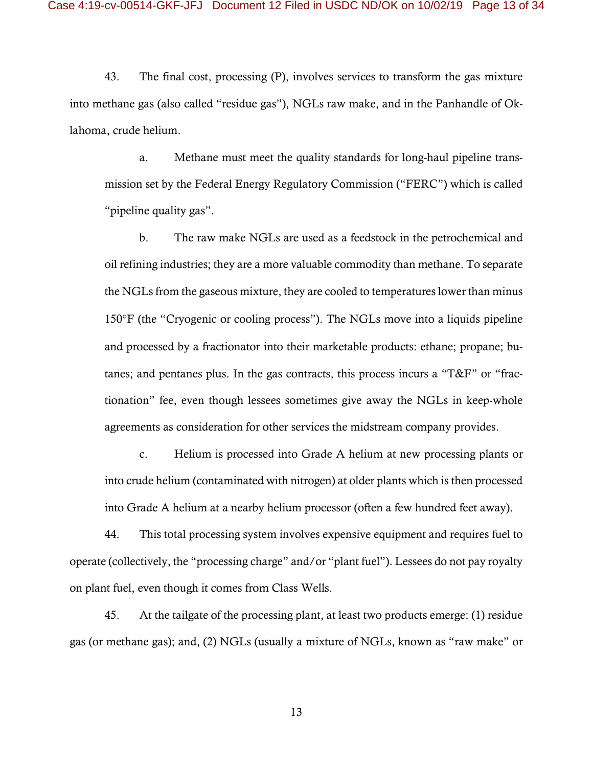43. The final cost, processing (P), involves services to transform the gas mixture into methane gas (also called "residue gas"), NGLs raw make, and in the Panhandle of Oklahoma, crude helium.

a. Methane must meet the quality standards for long-haul pipeline transmission set by the Federal Energy Regulatory Commission ("FERC") which is called "pipeline quality gas".

b. The raw make NGLs are used as a feedstock in the petrochemical and oil refining industries; they are a more valuable commodity than methane. To separate the NGLs from the gaseous mixture, they are cooled to temperatures lower than minus 150°F (the "Cryogenic or cooling process"). The NGLs move into a liquids pipeline and processed by a fractionator into their marketable products: ethane; propane; butanes; and pentanes plus. In the gas contracts, this process incurs a "T&F" or "fractionation" fee, even though lessees sometimes give away the NGLs in keep-whole agreements as consideration for other services the midstream company provides.

c. Helium is processed into Grade A helium at new processing plants or into crude helium (contaminated with nitrogen) at older plants which is then processed into Grade A helium at a nearby helium processor (often a few hundred feet away).

44. This total processing system involves expensive equipment and requires fuel to operate (collectively, the "processing charge" and/or "plant fuel"). Lessees do not pay royalty on plant fuel, even though it comes from Class Wells.

45. At the tailgate of the processing plant, at least two products emerge: (1) residue gas (or methane gas); and, (2) NGLs (usually a mixture of NGLs, known as "raw make" or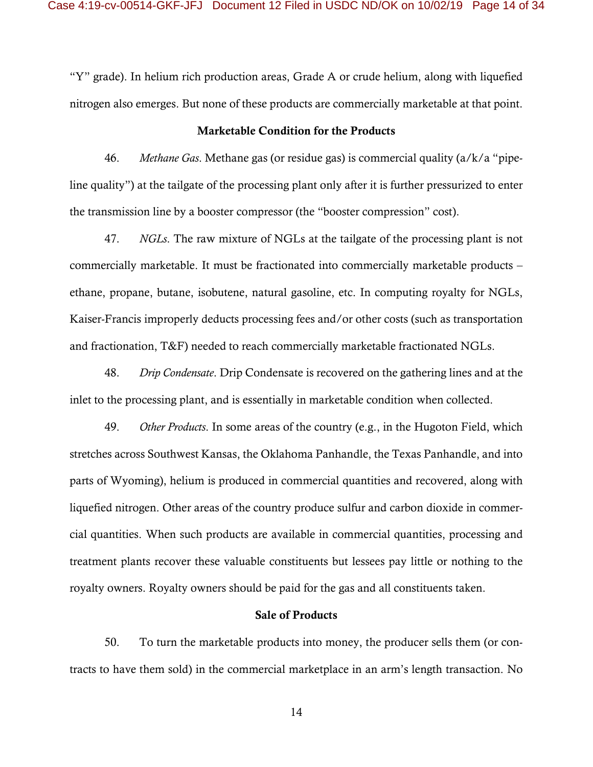"Y" grade). In helium rich production areas, Grade A or crude helium, along with liquefied nitrogen also emerges. But none of these products are commercially marketable at that point.

### Marketable Condition for the Products

46. *Methane Gas*. Methane gas (or residue gas) is commercial quality (a/k/a "pipeline quality") at the tailgate of the processing plant only after it is further pressurized to enter the transmission line by a booster compressor (the "booster compression" cost).

47. *NGLs*. The raw mixture of NGLs at the tailgate of the processing plant is not commercially marketable. It must be fractionated into commercially marketable products – ethane, propane, butane, isobutene, natural gasoline, etc. In computing royalty for NGLs, Kaiser-Francis improperly deducts processing fees and/or other costs (such as transportation and fractionation, T&F) needed to reach commercially marketable fractionated NGLs.

48. *Drip Condensate*. Drip Condensate is recovered on the gathering lines and at the inlet to the processing plant, and is essentially in marketable condition when collected.

49. *Other Products*. In some areas of the country (e.g., in the Hugoton Field, which stretches across Southwest Kansas, the Oklahoma Panhandle, the Texas Panhandle, and into parts of Wyoming), helium is produced in commercial quantities and recovered, along with liquefied nitrogen. Other areas of the country produce sulfur and carbon dioxide in commercial quantities. When such products are available in commercial quantities, processing and treatment plants recover these valuable constituents but lessees pay little or nothing to the royalty owners. Royalty owners should be paid for the gas and all constituents taken.

# Sale of Products

50. To turn the marketable products into money, the producer sells them (or contracts to have them sold) in the commercial marketplace in an arm's length transaction. No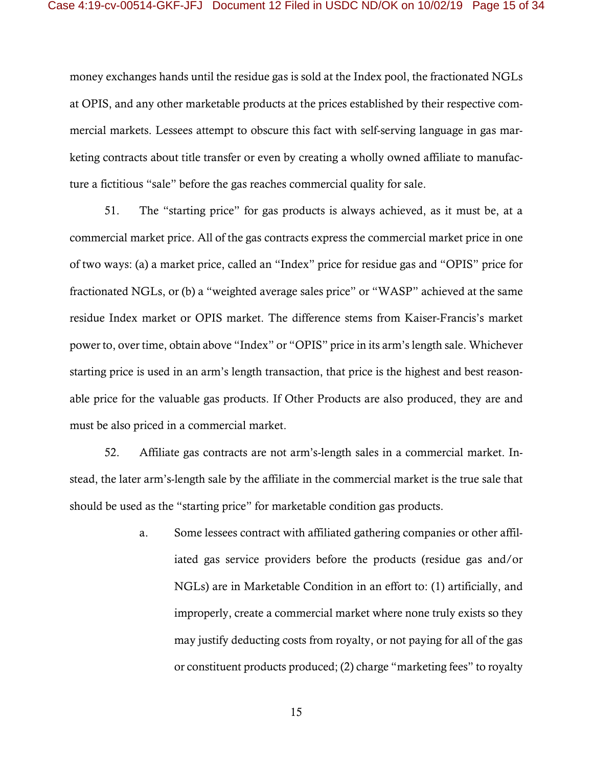money exchanges hands until the residue gas is sold at the Index pool, the fractionated NGLs at OPIS, and any other marketable products at the prices established by their respective commercial markets. Lessees attempt to obscure this fact with self-serving language in gas marketing contracts about title transfer or even by creating a wholly owned affiliate to manufacture a fictitious "sale" before the gas reaches commercial quality for sale.

51. The "starting price" for gas products is always achieved, as it must be, at a commercial market price. All of the gas contracts express the commercial market price in one of two ways: (a) a market price, called an "Index" price for residue gas and "OPIS" price for fractionated NGLs, or (b) a "weighted average sales price" or "WASP" achieved at the same residue Index market or OPIS market. The difference stems from Kaiser-Francis's market power to, over time, obtain above "Index" or "OPIS" price in its arm's length sale. Whichever starting price is used in an arm's length transaction, that price is the highest and best reasonable price for the valuable gas products. If Other Products are also produced, they are and must be also priced in a commercial market.

52. Affiliate gas contracts are not arm's-length sales in a commercial market. Instead, the later arm's-length sale by the affiliate in the commercial market is the true sale that should be used as the "starting price" for marketable condition gas products.

> a. Some lessees contract with affiliated gathering companies or other affiliated gas service providers before the products (residue gas and/or NGLs) are in Marketable Condition in an effort to: (1) artificially, and improperly, create a commercial market where none truly exists so they may justify deducting costs from royalty, or not paying for all of the gas or constituent products produced; (2) charge "marketing fees" to royalty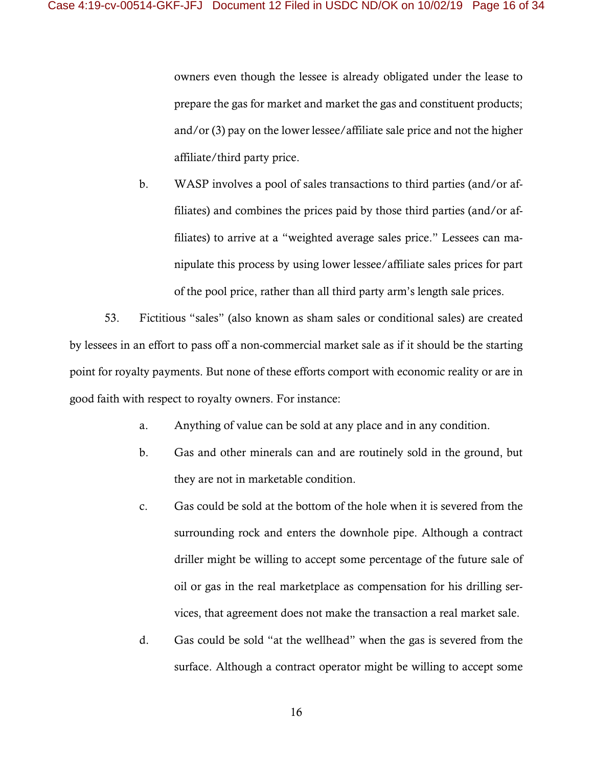owners even though the lessee is already obligated under the lease to prepare the gas for market and market the gas and constituent products; and/or (3) pay on the lower lessee/affiliate sale price and not the higher affiliate/third party price.

b. WASP involves a pool of sales transactions to third parties (and/or affiliates) and combines the prices paid by those third parties (and/or affiliates) to arrive at a "weighted average sales price." Lessees can manipulate this process by using lower lessee/affiliate sales prices for part of the pool price, rather than all third party arm's length sale prices.

53. Fictitious "sales" (also known as sham sales or conditional sales) are created by lessees in an effort to pass off a non-commercial market sale as if it should be the starting point for royalty payments. But none of these efforts comport with economic reality or are in good faith with respect to royalty owners. For instance:

- a. Anything of value can be sold at any place and in any condition.
- b. Gas and other minerals can and are routinely sold in the ground, but they are not in marketable condition.
- c. Gas could be sold at the bottom of the hole when it is severed from the surrounding rock and enters the downhole pipe. Although a contract driller might be willing to accept some percentage of the future sale of oil or gas in the real marketplace as compensation for his drilling services, that agreement does not make the transaction a real market sale.
- d. Gas could be sold "at the wellhead" when the gas is severed from the surface. Although a contract operator might be willing to accept some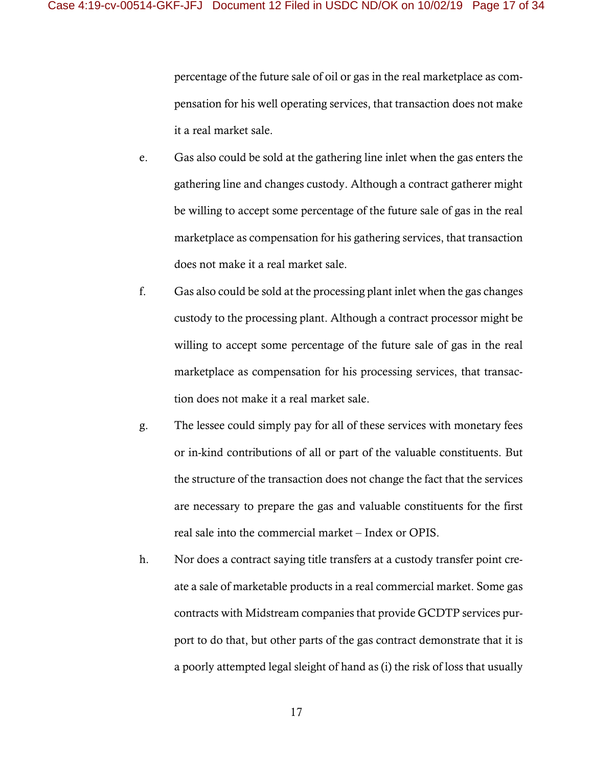percentage of the future sale of oil or gas in the real marketplace as compensation for his well operating services, that transaction does not make it a real market sale.

- e. Gas also could be sold at the gathering line inlet when the gas enters the gathering line and changes custody. Although a contract gatherer might be willing to accept some percentage of the future sale of gas in the real marketplace as compensation for his gathering services, that transaction does not make it a real market sale.
- f. Gas also could be sold at the processing plant inlet when the gas changes custody to the processing plant. Although a contract processor might be willing to accept some percentage of the future sale of gas in the real marketplace as compensation for his processing services, that transaction does not make it a real market sale.
- g. The lessee could simply pay for all of these services with monetary fees or in-kind contributions of all or part of the valuable constituents. But the structure of the transaction does not change the fact that the services are necessary to prepare the gas and valuable constituents for the first real sale into the commercial market – Index or OPIS.
- h. Nor does a contract saying title transfers at a custody transfer point create a sale of marketable products in a real commercial market. Some gas contracts with Midstream companies that provide GCDTP services purport to do that, but other parts of the gas contract demonstrate that it is a poorly attempted legal sleight of hand as (i) the risk of loss that usually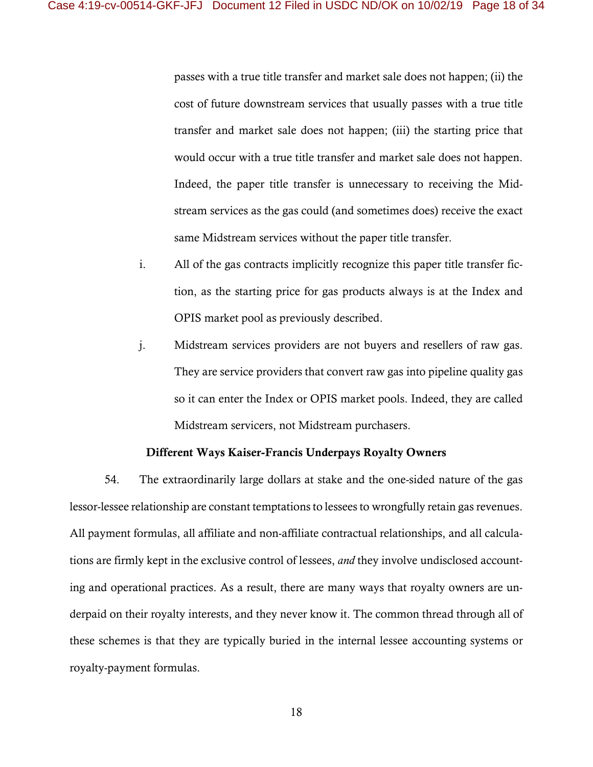passes with a true title transfer and market sale does not happen; (ii) the cost of future downstream services that usually passes with a true title transfer and market sale does not happen; (iii) the starting price that would occur with a true title transfer and market sale does not happen. Indeed, the paper title transfer is unnecessary to receiving the Midstream services as the gas could (and sometimes does) receive the exact same Midstream services without the paper title transfer.

- i. All of the gas contracts implicitly recognize this paper title transfer fiction, as the starting price for gas products always is at the Index and OPIS market pool as previously described.
- j. Midstream services providers are not buyers and resellers of raw gas. They are service providers that convert raw gas into pipeline quality gas so it can enter the Index or OPIS market pools. Indeed, they are called Midstream servicers, not Midstream purchasers.

### Different Ways Kaiser-Francis Underpays Royalty Owners

54. The extraordinarily large dollars at stake and the one-sided nature of the gas lessor-lessee relationship are constant temptations to lessees to wrongfully retain gas revenues. All payment formulas, all affiliate and non-affiliate contractual relationships, and all calculations are firmly kept in the exclusive control of lessees, *and* they involve undisclosed accounting and operational practices. As a result, there are many ways that royalty owners are underpaid on their royalty interests, and they never know it. The common thread through all of these schemes is that they are typically buried in the internal lessee accounting systems or royalty-payment formulas.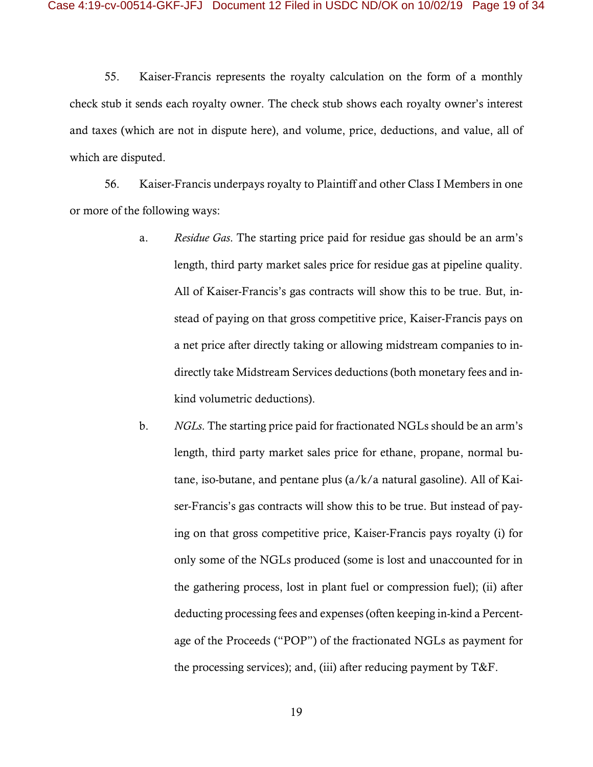55. Kaiser-Francis represents the royalty calculation on the form of a monthly check stub it sends each royalty owner. The check stub shows each royalty owner's interest and taxes (which are not in dispute here), and volume, price, deductions, and value, all of which are disputed.

56. Kaiser-Francis underpays royalty to Plaintiff and other Class I Members in one or more of the following ways:

- a. *Residue Gas*. The starting price paid for residue gas should be an arm's length, third party market sales price for residue gas at pipeline quality. All of Kaiser-Francis's gas contracts will show this to be true. But, instead of paying on that gross competitive price, Kaiser-Francis pays on a net price after directly taking or allowing midstream companies to indirectly take Midstream Services deductions (both monetary fees and inkind volumetric deductions).
- b. *NGLs*. The starting price paid for fractionated NGLs should be an arm's length, third party market sales price for ethane, propane, normal butane, iso-butane, and pentane plus (a/k/a natural gasoline). All of Kaiser-Francis's gas contracts will show this to be true. But instead of paying on that gross competitive price, Kaiser-Francis pays royalty (i) for only some of the NGLs produced (some is lost and unaccounted for in the gathering process, lost in plant fuel or compression fuel); (ii) after deducting processing fees and expenses (often keeping in-kind a Percentage of the Proceeds ("POP") of the fractionated NGLs as payment for the processing services); and, (iii) after reducing payment by T&F.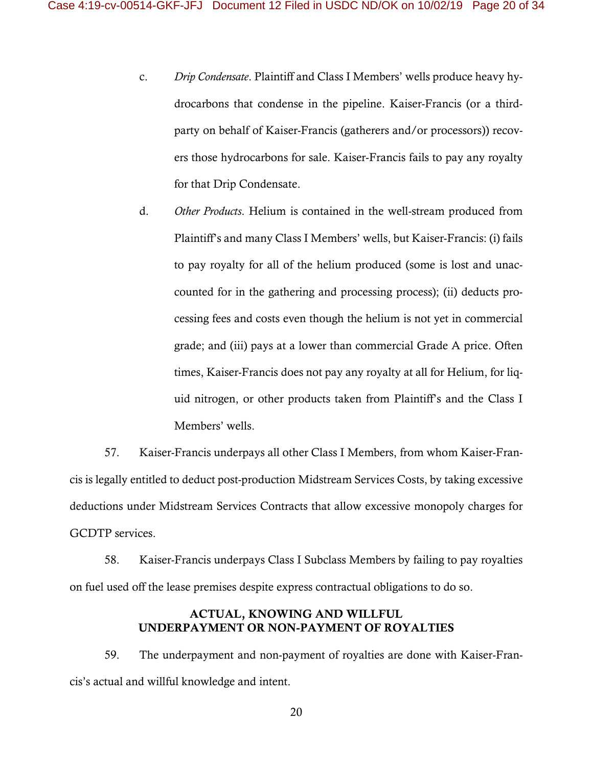- c. *Drip Condensate*. Plaintiff and Class I Members' wells produce heavy hydrocarbons that condense in the pipeline. Kaiser-Francis (or a thirdparty on behalf of Kaiser-Francis (gatherers and/or processors)) recovers those hydrocarbons for sale. Kaiser-Francis fails to pay any royalty for that Drip Condensate.
- d. *Other Products*. Helium is contained in the well-stream produced from Plaintiff's and many Class I Members' wells, but Kaiser-Francis: (i) fails to pay royalty for all of the helium produced (some is lost and unaccounted for in the gathering and processing process); (ii) deducts processing fees and costs even though the helium is not yet in commercial grade; and (iii) pays at a lower than commercial Grade A price. Often times, Kaiser-Francis does not pay any royalty at all for Helium, for liquid nitrogen, or other products taken from Plaintiff's and the Class I Members' wells.

57. Kaiser-Francis underpays all other Class I Members, from whom Kaiser-Francis is legally entitled to deduct post-production Midstream Services Costs, by taking excessive deductions under Midstream Services Contracts that allow excessive monopoly charges for GCDTP services.

58. Kaiser-Francis underpays Class I Subclass Members by failing to pay royalties on fuel used off the lease premises despite express contractual obligations to do so.

# ACTUAL, KNOWING AND WILLFUL UNDERPAYMENT OR NON-PAYMENT OF ROYALTIES

59. The underpayment and non-payment of royalties are done with Kaiser-Francis's actual and willful knowledge and intent.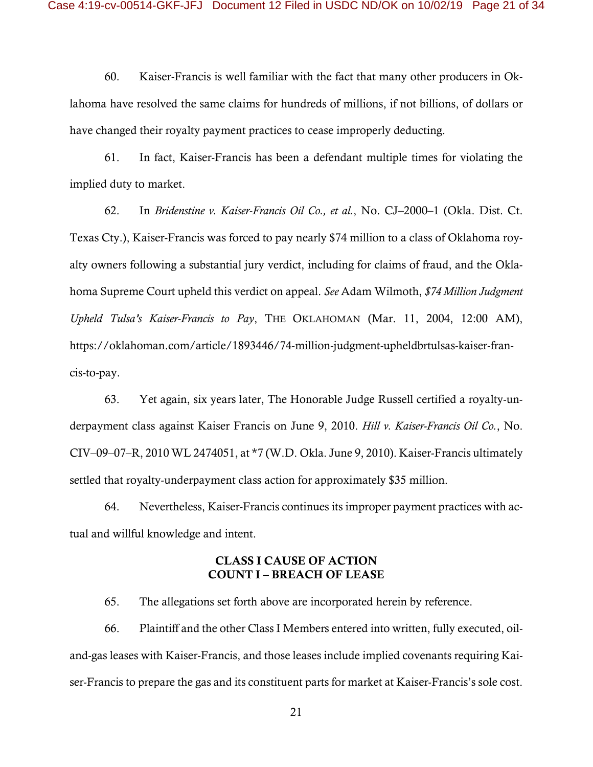60. Kaiser-Francis is well familiar with the fact that many other producers in Oklahoma have resolved the same claims for hundreds of millions, if not billions, of dollars or have changed their royalty payment practices to cease improperly deducting.

61. In fact, Kaiser-Francis has been a defendant multiple times for violating the implied duty to market.

62. In *Bridenstine v. Kaiser-Francis Oil Co., et al.*, No. CJ–2000–1 (Okla. Dist. Ct. Texas Cty.), Kaiser-Francis was forced to pay nearly \$74 million to a class of Oklahoma royalty owners following a substantial jury verdict, including for claims of fraud, and the Oklahoma Supreme Court upheld this verdict on appeal. *See* Adam Wilmoth, *\$74 Million Judgment Upheld Tulsa's Kaiser-Francis to Pay*, THE OKLAHOMAN (Mar. 11, 2004, 12:00 AM), https://oklahoman.com/article/1893446/74-million-judgment-upheldbrtulsas-kaiser-francis-to-pay.

63. Yet again, six years later, The Honorable Judge Russell certified a royalty-underpayment class against Kaiser Francis on June 9, 2010. *Hill v. Kaiser-Francis Oil Co.*, No. CIV–09–07–R, 2010 WL 2474051, at \*7 (W.D. Okla. June 9, 2010). Kaiser-Francis ultimately settled that royalty-underpayment class action for approximately \$35 million.

64. Nevertheless, Kaiser-Francis continues its improper payment practices with actual and willful knowledge and intent.

# CLASS I CAUSE OF ACTION COUNT I – BREACH OF LEASE

65. The allegations set forth above are incorporated herein by reference.

66. Plaintiff and the other Class I Members entered into written, fully executed, oiland-gas leases with Kaiser-Francis, and those leases include implied covenants requiring Kaiser-Francis to prepare the gas and its constituent parts for market at Kaiser-Francis's sole cost.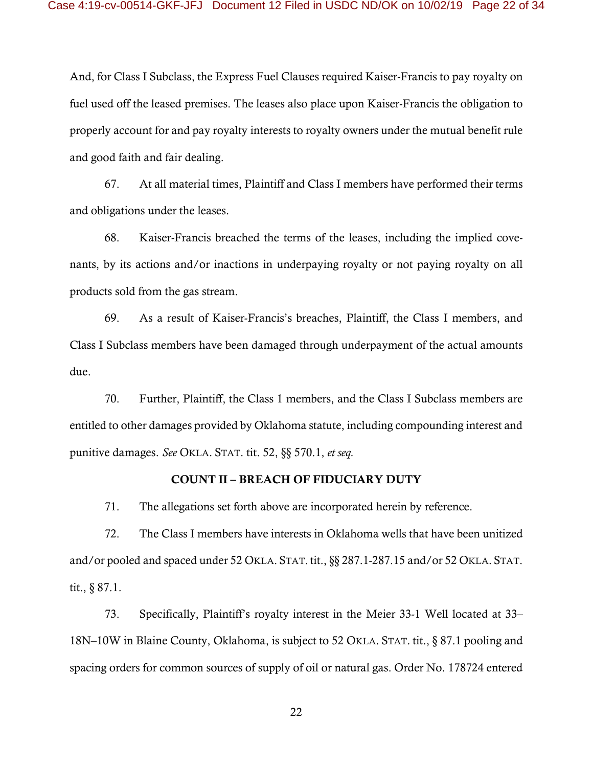And, for Class I Subclass, the Express Fuel Clauses required Kaiser-Francis to pay royalty on fuel used off the leased premises. The leases also place upon Kaiser-Francis the obligation to properly account for and pay royalty interests to royalty owners under the mutual benefit rule and good faith and fair dealing.

67. At all material times, Plaintiff and Class I members have performed their terms and obligations under the leases.

68. Kaiser-Francis breached the terms of the leases, including the implied covenants, by its actions and/or inactions in underpaying royalty or not paying royalty on all products sold from the gas stream.

69. As a result of Kaiser-Francis's breaches, Plaintiff, the Class I members, and Class I Subclass members have been damaged through underpayment of the actual amounts due.

70. Further, Plaintiff, the Class 1 members, and the Class I Subclass members are entitled to other damages provided by Oklahoma statute, including compounding interest and punitive damages. *See* OKLA. STAT. tit. 52, §§ 570.1, *et seq.*

### COUNT II – BREACH OF FIDUCIARY DUTY

71. The allegations set forth above are incorporated herein by reference.

72. The Class I members have interests in Oklahoma wells that have been unitized and/or pooled and spaced under 52 OKLA. STAT. tit., §§ 287.1-287.15 and/or 52 OKLA. STAT. tit., § 87.1.

73. Specifically, Plaintiff's royalty interest in the Meier 33-1 Well located at 33– 18N–10W in Blaine County, Oklahoma, is subject to 52 OKLA. STAT. tit., § 87.1 pooling and spacing orders for common sources of supply of oil or natural gas. Order No. 178724 entered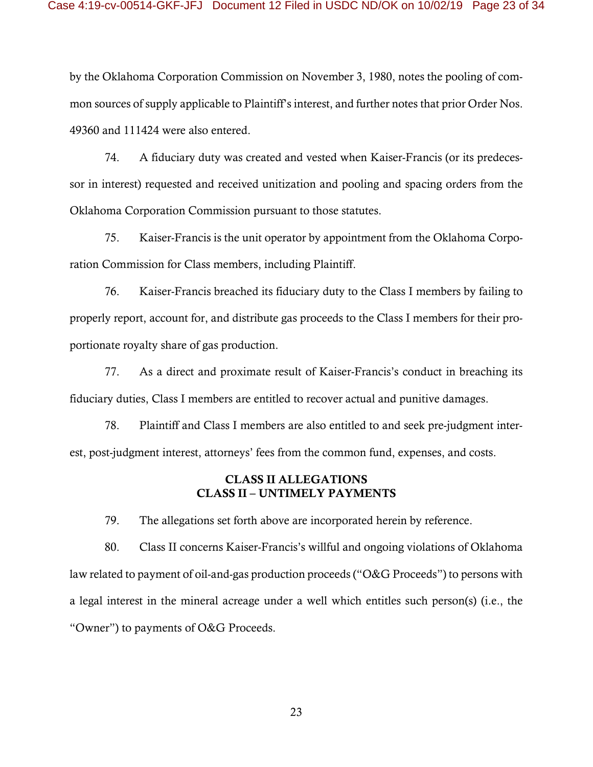by the Oklahoma Corporation Commission on November 3, 1980, notes the pooling of common sources of supply applicable to Plaintiff's interest, and further notes that prior Order Nos. 49360 and 111424 were also entered.

74. A fiduciary duty was created and vested when Kaiser-Francis (or its predecessor in interest) requested and received unitization and pooling and spacing orders from the Oklahoma Corporation Commission pursuant to those statutes.

75. Kaiser-Francis is the unit operator by appointment from the Oklahoma Corporation Commission for Class members, including Plaintiff.

76. Kaiser-Francis breached its fiduciary duty to the Class I members by failing to properly report, account for, and distribute gas proceeds to the Class I members for their proportionate royalty share of gas production.

77. As a direct and proximate result of Kaiser-Francis's conduct in breaching its fiduciary duties, Class I members are entitled to recover actual and punitive damages.

78. Plaintiff and Class I members are also entitled to and seek pre-judgment interest, post-judgment interest, attorneys' fees from the common fund, expenses, and costs.

# CLASS II ALLEGATIONS CLASS II – UNTIMELY PAYMENTS

79. The allegations set forth above are incorporated herein by reference.

80. Class II concerns Kaiser-Francis's willful and ongoing violations of Oklahoma law related to payment of oil-and-gas production proceeds ("O&G Proceeds") to persons with a legal interest in the mineral acreage under a well which entitles such person(s) (i.e., the "Owner") to payments of O&G Proceeds.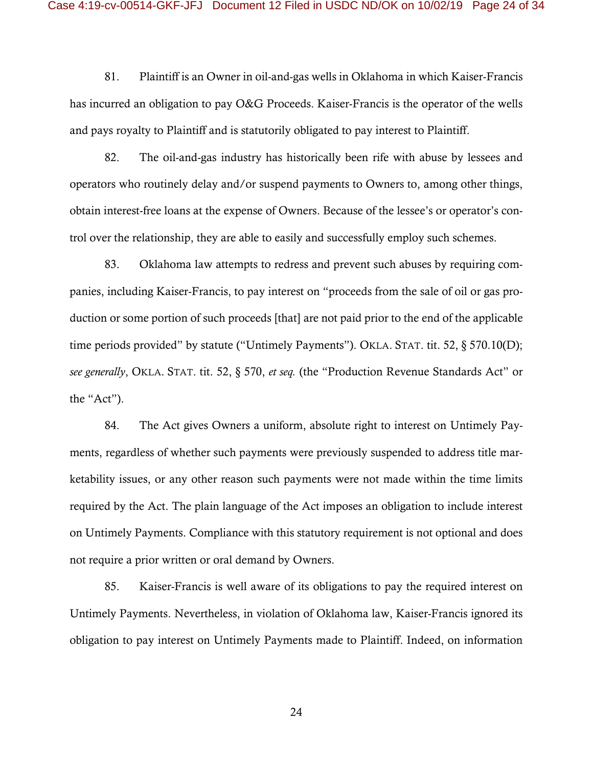81. Plaintiff is an Owner in oil-and-gas wells in Oklahoma in which Kaiser-Francis has incurred an obligation to pay O&G Proceeds. Kaiser-Francis is the operator of the wells and pays royalty to Plaintiff and is statutorily obligated to pay interest to Plaintiff.

82. The oil-and-gas industry has historically been rife with abuse by lessees and operators who routinely delay and/or suspend payments to Owners to, among other things, obtain interest-free loans at the expense of Owners. Because of the lessee's or operator's control over the relationship, they are able to easily and successfully employ such schemes.

83. Oklahoma law attempts to redress and prevent such abuses by requiring companies, including Kaiser-Francis, to pay interest on "proceeds from the sale of oil or gas production or some portion of such proceeds [that] are not paid prior to the end of the applicable time periods provided" by statute ("Untimely Payments"). OKLA. STAT. tit. 52, § 570.10(D); *see generally*, OKLA. STAT. tit. 52, § 570, *et seq.* (the "Production Revenue Standards Act" or the "Act").

84. The Act gives Owners a uniform, absolute right to interest on Untimely Payments, regardless of whether such payments were previously suspended to address title marketability issues, or any other reason such payments were not made within the time limits required by the Act. The plain language of the Act imposes an obligation to include interest on Untimely Payments. Compliance with this statutory requirement is not optional and does not require a prior written or oral demand by Owners.

85. Kaiser-Francis is well aware of its obligations to pay the required interest on Untimely Payments. Nevertheless, in violation of Oklahoma law, Kaiser-Francis ignored its obligation to pay interest on Untimely Payments made to Plaintiff. Indeed, on information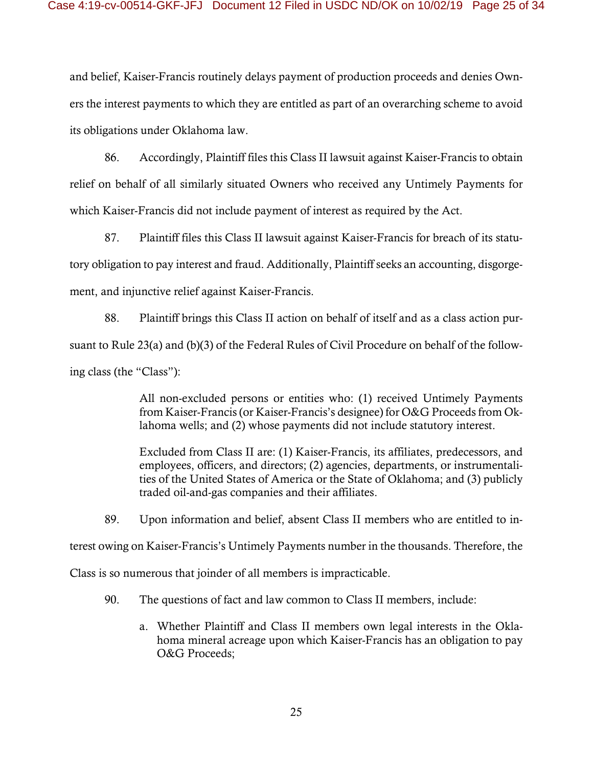and belief, Kaiser-Francis routinely delays payment of production proceeds and denies Owners the interest payments to which they are entitled as part of an overarching scheme to avoid its obligations under Oklahoma law.

86. Accordingly, Plaintiff files this Class II lawsuit against Kaiser-Francis to obtain relief on behalf of all similarly situated Owners who received any Untimely Payments for which Kaiser-Francis did not include payment of interest as required by the Act.

87. Plaintiff files this Class II lawsuit against Kaiser-Francis for breach of its statutory obligation to pay interest and fraud. Additionally, Plaintiff seeks an accounting, disgorgement, and injunctive relief against Kaiser-Francis.

88. Plaintiff brings this Class II action on behalf of itself and as a class action pursuant to Rule 23(a) and (b)(3) of the Federal Rules of Civil Procedure on behalf of the following class (the "Class"):

> All non-excluded persons or entities who: (1) received Untimely Payments from Kaiser-Francis (or Kaiser-Francis's designee) for O&G Proceeds from Oklahoma wells; and (2) whose payments did not include statutory interest.

> Excluded from Class II are: (1) Kaiser-Francis, its affiliates, predecessors, and employees, officers, and directors; (2) agencies, departments, or instrumentalities of the United States of America or the State of Oklahoma; and (3) publicly traded oil-and-gas companies and their affiliates.

89. Upon information and belief, absent Class II members who are entitled to in-

terest owing on Kaiser-Francis's Untimely Payments number in the thousands. Therefore, the

Class is so numerous that joinder of all members is impracticable.

- 90. The questions of fact and law common to Class II members, include:
	- a. Whether Plaintiff and Class II members own legal interests in the Oklahoma mineral acreage upon which Kaiser-Francis has an obligation to pay O&G Proceeds;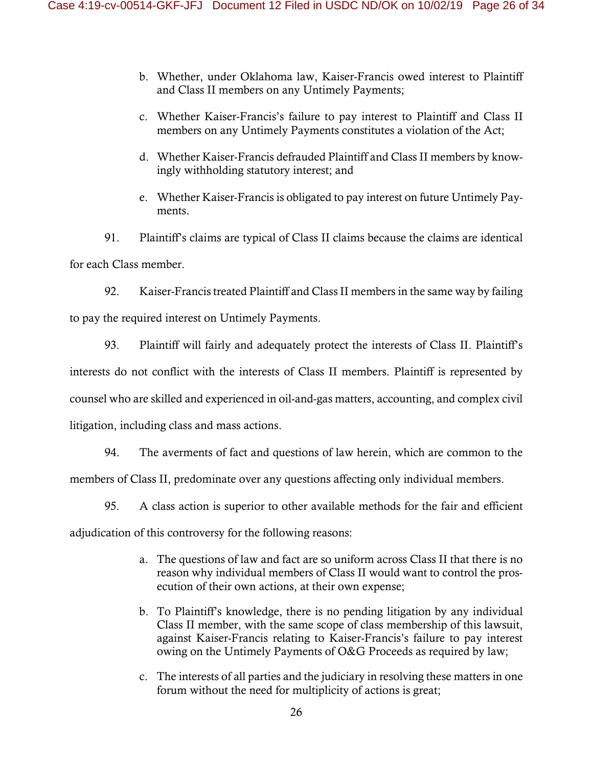- b. Whether, under Oklahoma law, Kaiser-Francis owed interest to Plaintiff and Class II members on any Untimely Payments;
- c. Whether Kaiser-Francis's failure to pay interest to Plaintiff and Class II members on any Untimely Payments constitutes a violation of the Act;
- d. Whether Kaiser-Francis defrauded Plaintiff and Class II members by knowingly withholding statutory interest; and
- e. Whether Kaiser-Francis is obligated to pay interest on future Untimely Payments.

91. Plaintiff's claims are typical of Class II claims because the claims are identical for each Class member.

92. Kaiser-Francis treated Plaintiff and Class II members in the same way by failing

to pay the required interest on Untimely Payments.

93. Plaintiff will fairly and adequately protect the interests of Class II. Plaintiff's

interests do not conflict with the interests of Class II members. Plaintiff is represented by

counsel who are skilled and experienced in oil-and-gas matters, accounting, and complex civil

litigation, including class and mass actions.

94. The averments of fact and questions of law herein, which are common to the

members of Class II, predominate over any questions affecting only individual members.

95. A class action is superior to other available methods for the fair and efficient

adjudication of this controversy for the following reasons:

- a. The questions of law and fact are so uniform across Class II that there is no reason why individual members of Class II would want to control the prosecution of their own actions, at their own expense;
- b. To Plaintiff's knowledge, there is no pending litigation by any individual Class II member, with the same scope of class membership of this lawsuit, against Kaiser-Francis relating to Kaiser-Francis's failure to pay interest owing on the Untimely Payments of O&G Proceeds as required by law;
- c. The interests of all parties and the judiciary in resolving these matters in one forum without the need for multiplicity of actions is great;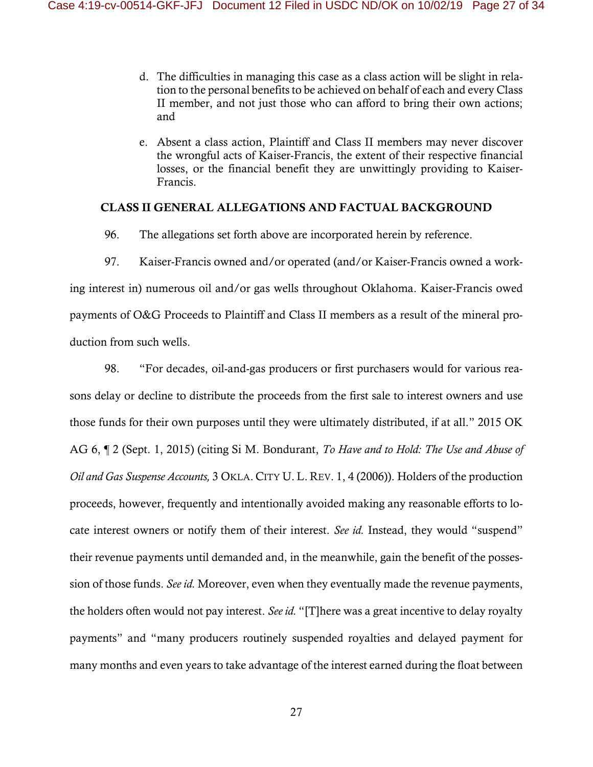- d. The difficulties in managing this case as a class action will be slight in relation to the personal benefits to be achieved on behalf of each and every Class II member, and not just those who can afford to bring their own actions; and
- e. Absent a class action, Plaintiff and Class II members may never discover the wrongful acts of Kaiser-Francis, the extent of their respective financial losses, or the financial benefit they are unwittingly providing to Kaiser-Francis.

# CLASS II GENERAL ALLEGATIONS AND FACTUAL BACKGROUND

- 96. The allegations set forth above are incorporated herein by reference.
- 97. Kaiser-Francis owned and/or operated (and/or Kaiser-Francis owned a working interest in) numerous oil and/or gas wells throughout Oklahoma. Kaiser-Francis owed payments of O&G Proceeds to Plaintiff and Class II members as a result of the mineral production from such wells.

98. "For decades, oil-and-gas producers or first purchasers would for various reasons delay or decline to distribute the proceeds from the first sale to interest owners and use those funds for their own purposes until they were ultimately distributed, if at all." 2015 OK AG 6, ¶ 2 (Sept. 1, 2015) (citing Si M. Bondurant, *To Have and to Hold: The Use and Abuse of Oil and Gas Suspense Accounts,* 3 OKLA. CITY U. L. REV. 1, 4 (2006)). Holders of the production proceeds, however, frequently and intentionally avoided making any reasonable efforts to locate interest owners or notify them of their interest. *See id.* Instead, they would "suspend" their revenue payments until demanded and, in the meanwhile, gain the benefit of the possession of those funds. *See id.* Moreover, even when they eventually made the revenue payments, the holders often would not pay interest. *See id.* "[T]here was a great incentive to delay royalty payments" and "many producers routinely suspended royalties and delayed payment for many months and even years to take advantage of the interest earned during the float between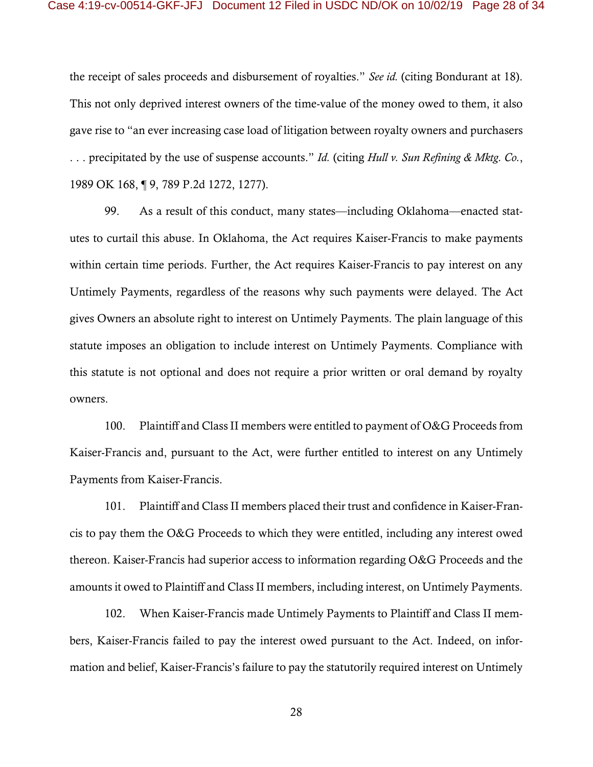the receipt of sales proceeds and disbursement of royalties." *See id.* (citing Bondurant at 18). This not only deprived interest owners of the time-value of the money owed to them, it also gave rise to "an ever increasing case load of litigation between royalty owners and purchasers . . . precipitated by the use of suspense accounts." *Id.* (citing *Hull v. Sun Refining & Mktg. Co.*, 1989 OK 168, ¶ 9, 789 P.2d 1272, 1277).

99. As a result of this conduct, many states—including Oklahoma—enacted statutes to curtail this abuse. In Oklahoma, the Act requires Kaiser-Francis to make payments within certain time periods. Further, the Act requires Kaiser-Francis to pay interest on any Untimely Payments, regardless of the reasons why such payments were delayed. The Act gives Owners an absolute right to interest on Untimely Payments. The plain language of this statute imposes an obligation to include interest on Untimely Payments. Compliance with this statute is not optional and does not require a prior written or oral demand by royalty owners.

100. Plaintiff and Class II members were entitled to payment of O&G Proceeds from Kaiser-Francis and, pursuant to the Act, were further entitled to interest on any Untimely Payments from Kaiser-Francis.

101. Plaintiff and Class II members placed their trust and confidence in Kaiser-Francis to pay them the O&G Proceeds to which they were entitled, including any interest owed thereon. Kaiser-Francis had superior access to information regarding O&G Proceeds and the amounts it owed to Plaintiff and Class II members, including interest, on Untimely Payments.

102. When Kaiser-Francis made Untimely Payments to Plaintiff and Class II members, Kaiser-Francis failed to pay the interest owed pursuant to the Act. Indeed, on information and belief, Kaiser-Francis's failure to pay the statutorily required interest on Untimely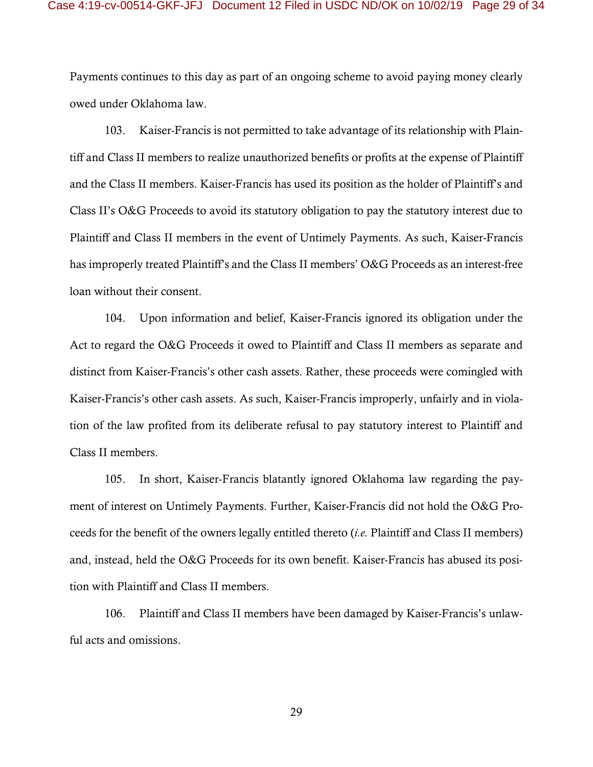Payments continues to this day as part of an ongoing scheme to avoid paying money clearly owed under Oklahoma law.

103. Kaiser-Francis is not permitted to take advantage of its relationship with Plaintiff and Class II members to realize unauthorized benefits or profits at the expense of Plaintiff and the Class II members. Kaiser-Francis has used its position as the holder of Plaintiff's and Class II's O&G Proceeds to avoid its statutory obligation to pay the statutory interest due to Plaintiff and Class II members in the event of Untimely Payments. As such, Kaiser-Francis has improperly treated Plaintiff's and the Class II members' O&G Proceeds as an interest-free loan without their consent.

104. Upon information and belief, Kaiser-Francis ignored its obligation under the Act to regard the O&G Proceeds it owed to Plaintiff and Class II members as separate and distinct from Kaiser-Francis's other cash assets. Rather, these proceeds were comingled with Kaiser-Francis's other cash assets. As such, Kaiser-Francis improperly, unfairly and in violation of the law profited from its deliberate refusal to pay statutory interest to Plaintiff and Class II members.

105. In short, Kaiser-Francis blatantly ignored Oklahoma law regarding the payment of interest on Untimely Payments. Further, Kaiser-Francis did not hold the O&G Proceeds for the benefit of the owners legally entitled thereto (*i.e.* Plaintiff and Class II members) and, instead, held the O&G Proceeds for its own benefit. Kaiser-Francis has abused its position with Plaintiff and Class II members.

106. Plaintiff and Class II members have been damaged by Kaiser-Francis's unlawful acts and omissions.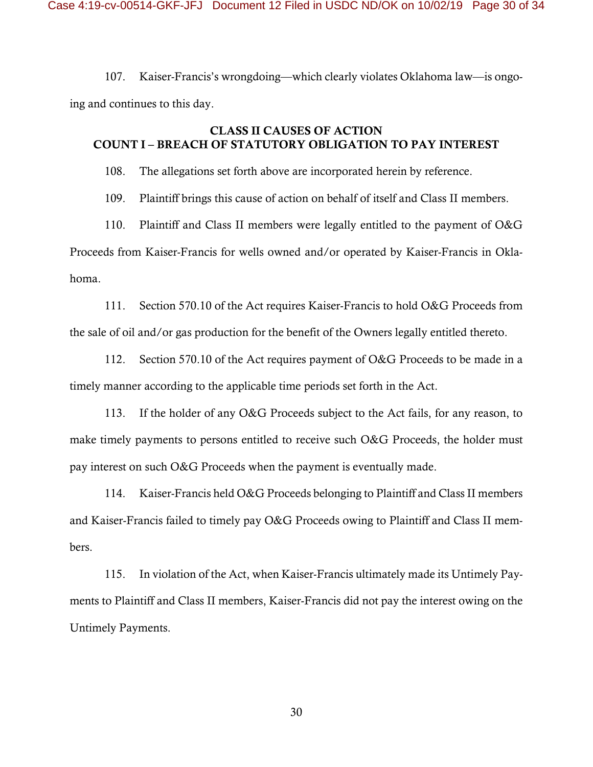107. Kaiser-Francis's wrongdoing—which clearly violates Oklahoma law—is ongoing and continues to this day.

# CLASS II CAUSES OF ACTION COUNT I – BREACH OF STATUTORY OBLIGATION TO PAY INTEREST

108. The allegations set forth above are incorporated herein by reference.

109. Plaintiff brings this cause of action on behalf of itself and Class II members.

110. Plaintiff and Class II members were legally entitled to the payment of O&G Proceeds from Kaiser-Francis for wells owned and/or operated by Kaiser-Francis in Oklahoma.

111. Section 570.10 of the Act requires Kaiser-Francis to hold O&G Proceeds from the sale of oil and/or gas production for the benefit of the Owners legally entitled thereto.

112. Section 570.10 of the Act requires payment of O&G Proceeds to be made in a timely manner according to the applicable time periods set forth in the Act.

113. If the holder of any O&G Proceeds subject to the Act fails, for any reason, to make timely payments to persons entitled to receive such O&G Proceeds, the holder must pay interest on such O&G Proceeds when the payment is eventually made.

114. Kaiser-Francis held O&G Proceeds belonging to Plaintiff and Class II members and Kaiser-Francis failed to timely pay O&G Proceeds owing to Plaintiff and Class II members.

115. In violation of the Act, when Kaiser-Francis ultimately made its Untimely Payments to Plaintiff and Class II members, Kaiser-Francis did not pay the interest owing on the Untimely Payments.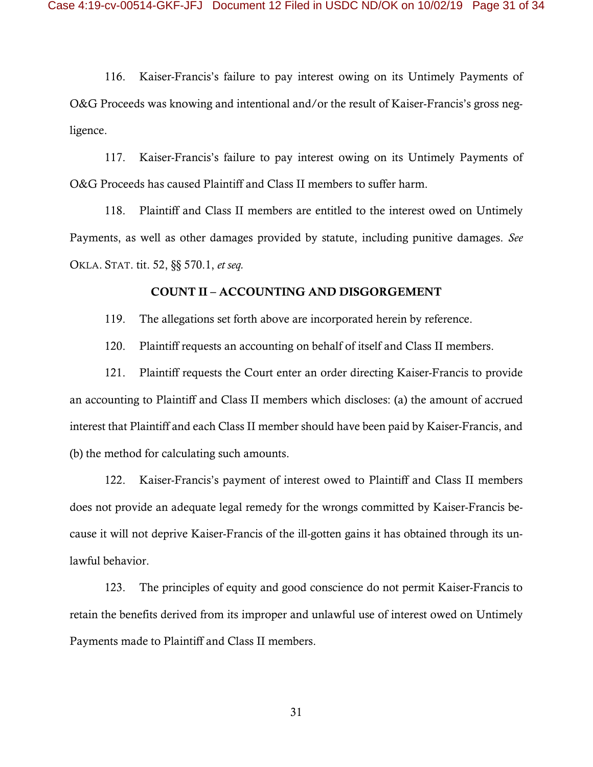116. Kaiser-Francis's failure to pay interest owing on its Untimely Payments of O&G Proceeds was knowing and intentional and/or the result of Kaiser-Francis's gross negligence.

117. Kaiser-Francis's failure to pay interest owing on its Untimely Payments of O&G Proceeds has caused Plaintiff and Class II members to suffer harm.

118. Plaintiff and Class II members are entitled to the interest owed on Untimely Payments, as well as other damages provided by statute, including punitive damages. *See* OKLA. STAT. tit. 52, §§ 570.1, *et seq.*

### COUNT II – ACCOUNTING AND DISGORGEMENT

119. The allegations set forth above are incorporated herein by reference.

120. Plaintiff requests an accounting on behalf of itself and Class II members.

121. Plaintiff requests the Court enter an order directing Kaiser-Francis to provide an accounting to Plaintiff and Class II members which discloses: (a) the amount of accrued interest that Plaintiff and each Class II member should have been paid by Kaiser-Francis, and (b) the method for calculating such amounts.

122. Kaiser-Francis's payment of interest owed to Plaintiff and Class II members does not provide an adequate legal remedy for the wrongs committed by Kaiser-Francis because it will not deprive Kaiser-Francis of the ill-gotten gains it has obtained through its unlawful behavior.

123. The principles of equity and good conscience do not permit Kaiser-Francis to retain the benefits derived from its improper and unlawful use of interest owed on Untimely Payments made to Plaintiff and Class II members.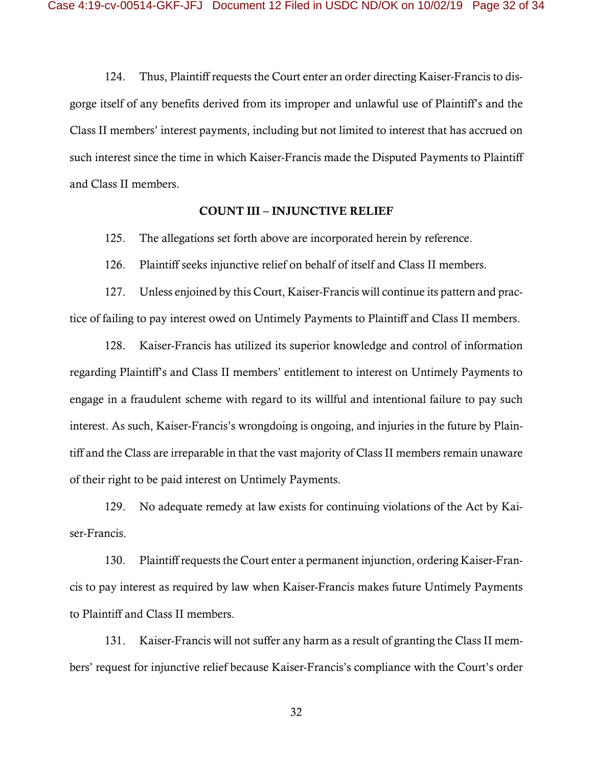124. Thus, Plaintiff requests the Court enter an order directing Kaiser-Francis to disgorge itself of any benefits derived from its improper and unlawful use of Plaintiff's and the Class II members' interest payments, including but not limited to interest that has accrued on such interest since the time in which Kaiser-Francis made the Disputed Payments to Plaintiff and Class II members.

#### COUNT III – INJUNCTIVE RELIEF

125. The allegations set forth above are incorporated herein by reference.

126. Plaintiff seeks injunctive relief on behalf of itself and Class II members.

127. Unless enjoined by this Court, Kaiser-Francis will continue its pattern and practice of failing to pay interest owed on Untimely Payments to Plaintiff and Class II members.

128. Kaiser-Francis has utilized its superior knowledge and control of information regarding Plaintiff's and Class II members' entitlement to interest on Untimely Payments to engage in a fraudulent scheme with regard to its willful and intentional failure to pay such interest. As such, Kaiser-Francis's wrongdoing is ongoing, and injuries in the future by Plaintiff and the Class are irreparable in that the vast majority of Class II members remain unaware of their right to be paid interest on Untimely Payments.

129. No adequate remedy at law exists for continuing violations of the Act by Kaiser-Francis.

130. Plaintiff requests the Court enter a permanent injunction, ordering Kaiser-Francis to pay interest as required by law when Kaiser-Francis makes future Untimely Payments to Plaintiff and Class II members.

131. Kaiser-Francis will not suffer any harm as a result of granting the Class II members' request for injunctive relief because Kaiser-Francis's compliance with the Court's order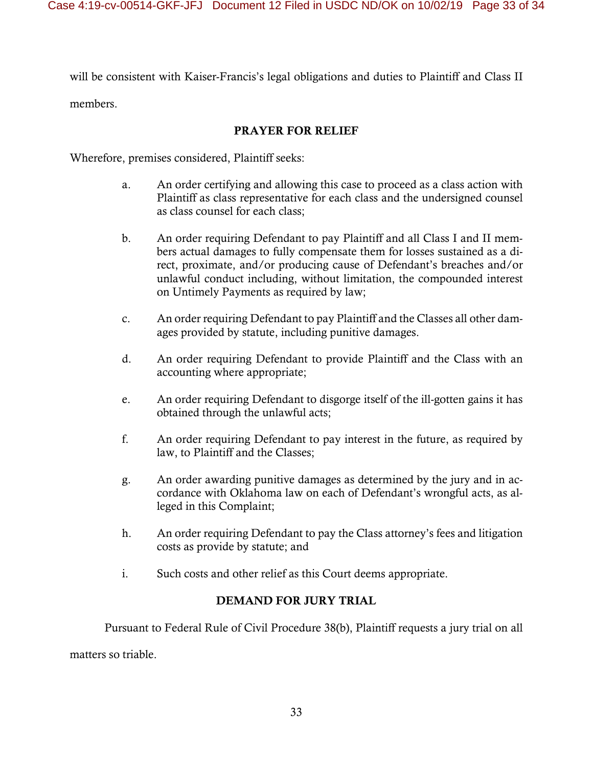will be consistent with Kaiser-Francis's legal obligations and duties to Plaintiff and Class II members.

# PRAYER FOR RELIEF

Wherefore, premises considered, Plaintiff seeks:

- a. An order certifying and allowing this case to proceed as a class action with Plaintiff as class representative for each class and the undersigned counsel as class counsel for each class;
- b. An order requiring Defendant to pay Plaintiff and all Class I and II members actual damages to fully compensate them for losses sustained as a direct, proximate, and/or producing cause of Defendant's breaches and/or unlawful conduct including, without limitation, the compounded interest on Untimely Payments as required by law;
- c. An order requiring Defendant to pay Plaintiff and the Classes all other damages provided by statute, including punitive damages.
- d. An order requiring Defendant to provide Plaintiff and the Class with an accounting where appropriate;
- e. An order requiring Defendant to disgorge itself of the ill-gotten gains it has obtained through the unlawful acts;
- f. An order requiring Defendant to pay interest in the future, as required by law, to Plaintiff and the Classes;
- g. An order awarding punitive damages as determined by the jury and in accordance with Oklahoma law on each of Defendant's wrongful acts, as alleged in this Complaint;
- h. An order requiring Defendant to pay the Class attorney's fees and litigation costs as provide by statute; and
- i. Such costs and other relief as this Court deems appropriate.

# DEMAND FOR JURY TRIAL

Pursuant to Federal Rule of Civil Procedure 38(b), Plaintiff requests a jury trial on all

matters so triable.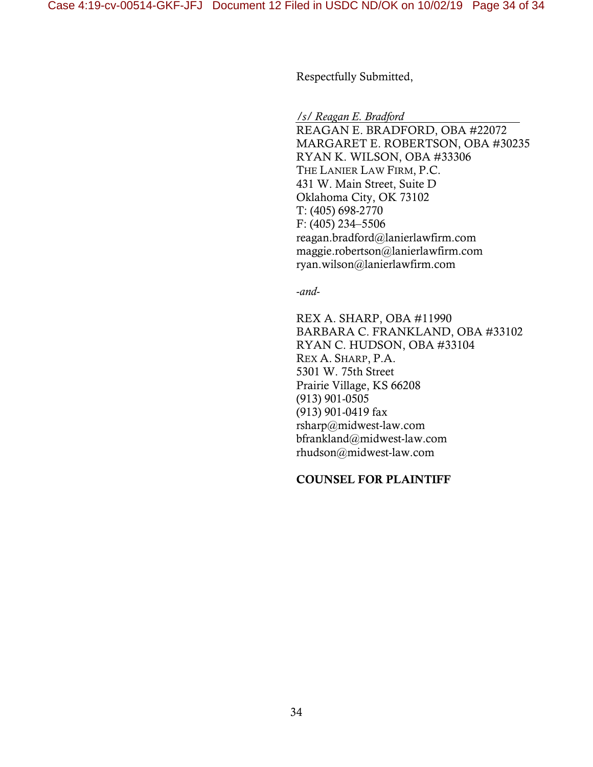Respectfully Submitted,

*/s/ Reagan E. Bradford*

REAGAN E. BRADFORD, OBA #22072 MARGARET E. ROBERTSON, OBA #30235 RYAN K. WILSON, OBA #33306 THE LANIER LAW FIRM, P.C. 431 W. Main Street, Suite D Oklahoma City, OK 73102 T: (405) 698-2770 F: (405) 234–5506 reagan.bradford@lanierlawfirm.com maggie.robertson@lanierlawfirm.com ryan.wilson@lanierlawfirm.com

-*and*-

REX A. SHARP, OBA #11990 BARBARA C. FRANKLAND, OBA #33102 RYAN C. HUDSON, OBA #33104 REX A. SHARP, P.A. 5301 W. 75th Street Prairie Village, KS 66208 (913) 901-0505 (913) 901-0419 fax rsharp@midwest-law.com bfrankland@midwest-law.com rhudson@midwest-law.com

### COUNSEL FOR PLAINTIFF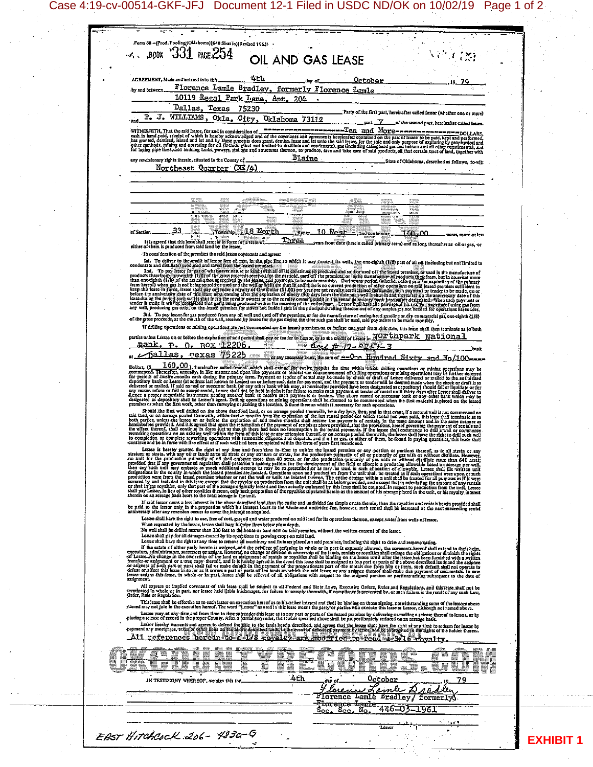# Case 4:19-cv-00514-GKF-JFJ Document 12-1 Filed in USDC ND/OK on 10/02/19 Page 1 of 2

| AGREEMENT, Made and entered into this                                                                                                                                                                                                                                                             |                                                                        |                               | ላቲከ       |          |        |              | <u>October</u>                 |                    |                                                                                                                                                           |                                                                                                                                                                              |
|---------------------------------------------------------------------------------------------------------------------------------------------------------------------------------------------------------------------------------------------------------------------------------------------------|------------------------------------------------------------------------|-------------------------------|-----------|----------|--------|--------------|--------------------------------|--------------------|-----------------------------------------------------------------------------------------------------------------------------------------------------------|------------------------------------------------------------------------------------------------------------------------------------------------------------------------------|
| by and between.                                                                                                                                                                                                                                                                                   | Florence Lamle Bradley.                                                |                               |           |          |        |              | formerly Florence Lamle        |                    |                                                                                                                                                           |                                                                                                                                                                              |
|                                                                                                                                                                                                                                                                                                   | 10119 Regal                                                            |                               | Park Lane | Aot:     | 204    |              |                                |                    |                                                                                                                                                           |                                                                                                                                                                              |
| Ρ.<br>.т.                                                                                                                                                                                                                                                                                         | Dallas, Texas<br>WILLIAMS,                                             |                               | 75230     |          |        |              |                                |                    |                                                                                                                                                           | Party of the first part, hereinafter called lessor (whether one or more)                                                                                                     |
|                                                                                                                                                                                                                                                                                                   |                                                                        | 0 <sub>k</sub> 1 <sub>a</sub> | City      | Oklahoma | 73112  | -~-------Ten |                                | nut V              |                                                                                                                                                           | af the second part, herrinafter called fessee.                                                                                                                               |
| WITNESSETH, That the said lessor, for and in consideration of<br>will process to the sum of the second of the covenants and agreements hereinafter contained on the part of lesser to be paid, kept and performed.<br>This granted, density, lessed and a sum of the presents does grant, density |                                                                        |                               |           |          |        |              |                                |                    |                                                                                                                                                           | and More-------------------pouLARS,                                                                                                                                          |
| any reversionary rights therein, situated in the County of                                                                                                                                                                                                                                        |                                                                        |                               |           |          | Blaine |              |                                |                    |                                                                                                                                                           |                                                                                                                                                                              |
|                                                                                                                                                                                                                                                                                                   | Northeast Quarter (NE/4)                                               |                               |           |          |        |              |                                |                    |                                                                                                                                                           | State of Oklahoma, described as follows, 10-wit:                                                                                                                             |
|                                                                                                                                                                                                                                                                                                   |                                                                        |                               |           |          |        |              |                                |                    |                                                                                                                                                           |                                                                                                                                                                              |
|                                                                                                                                                                                                                                                                                                   |                                                                        |                               |           |          |        |              |                                |                    |                                                                                                                                                           |                                                                                                                                                                              |
|                                                                                                                                                                                                                                                                                                   | thum                                                                   | 1223.22<br>BIN                | an Cin    |          | BR     |              |                                | ha vita 87<br>2007 | 225332<br>$\frac{1}{2}$                                                                                                                                   |                                                                                                                                                                              |
|                                                                                                                                                                                                                                                                                                   | With a                                                                 | æ                             |           |          | 888    |              |                                | m                  | $\frac{1}{2}$                                                                                                                                             |                                                                                                                                                                              |
| of Section.                                                                                                                                                                                                                                                                                       | 33                                                                     | Township                      | 8 North   |          | Range. | 10<br>West   |                                | and containing     | 160.00                                                                                                                                                    |                                                                                                                                                                              |
|                                                                                                                                                                                                                                                                                                   | It is agreed that this lease shall remain in force for a term of       |                               |           |          | Three  |              |                                |                    |                                                                                                                                                           | actes, more or less<br>years from date therein called primary term) and as long thereafter as oil or gas, or                                                                 |
| either of them is produced from said fand by the lessee.                                                                                                                                                                                                                                          | In consideration of the premises the said lessee covenants and agrees: |                               |           |          |        |              |                                |                    |                                                                                                                                                           |                                                                                                                                                                              |
| condensate and distillate) produced and saved from the leased premises.                                                                                                                                                                                                                           |                                                                        |                               |           |          |        |              |                                |                    |                                                                                                                                                           | Ist. To deliver to the credit of letter free of east, in the pice line to which it may connect its wells, the one-eighth (i/g) part of all oil (including but not limited to |
| conducts and distillate) produced and axed Reception for the gas shall are the product of the season of the season of the season of the season of the season of the season of the season of the season of the product system                                                                      |                                                                        |                               |           |          |        |              |                                |                    |                                                                                                                                                           |                                                                                                                                                                              |
|                                                                                                                                                                                                                                                                                                   |                                                                        |                               |           |          |        |              |                                |                    |                                                                                                                                                           |                                                                                                                                                                              |
|                                                                                                                                                                                                                                                                                                   |                                                                        |                               |           |          |        |              |                                |                    |                                                                                                                                                           |                                                                                                                                                                              |
|                                                                                                                                                                                                                                                                                                   |                                                                        |                               |           |          |        |              |                                |                    |                                                                                                                                                           |                                                                                                                                                                              |
| of the gas produced from any oil well and used off the premises, or for the manufacture of casing-head gasoline or dry commercial gas, one-eighth (1/8) والله fire goos proceeds, at the mouth of the well, received by lesses                                                                    |                                                                        |                               |           |          |        |              |                                |                    |                                                                                                                                                           |                                                                                                                                                                              |
|                                                                                                                                                                                                                                                                                                   |                                                                        |                               |           |          |        |              |                                |                    |                                                                                                                                                           | If drilling operations or mining operations and not commenced on the leased premises on subseque one year from this date, this lease shall then terminate as to both         |
| parties unless Lessee on or before the expiration of said period shall pay or tender to Lessor, by ito the credit of Lessor in NOT th park                                                                                                                                                        |                                                                        |                               |           |          |        |              |                                |                    |                                                                                                                                                           | National                                                                                                                                                                     |
| ìallas,                                                                                                                                                                                                                                                                                           | о.                                                                     | ROX 12206                     |           |          |        | Ćа           | -9261                          |                    |                                                                                                                                                           |                                                                                                                                                                              |
|                                                                                                                                                                                                                                                                                                   |                                                                        | $T$ exas 75225                |           |          |        |              |                                |                    |                                                                                                                                                           | $\alpha$ any successor bank, the sum of $=$ One. Hundred $S_{1X}$ ty and $N_{0}/100$                                                                                         |
|                                                                                                                                                                                                                                                                                                   |                                                                        |                               |           |          |        |              |                                |                    |                                                                                                                                                           |                                                                                                                                                                              |
|                                                                                                                                                                                                                                                                                                   |                                                                        |                               |           |          |        |              |                                |                    |                                                                                                                                                           |                                                                                                                                                                              |
|                                                                                                                                                                                                                                                                                                   |                                                                        |                               |           |          |        |              |                                |                    |                                                                                                                                                           |                                                                                                                                                                              |
| Dollars, $(5 - 160 \rho 00)$ , hereinalter called the case of the case of the case of the set of the set of the set of the commenced of dilling operations or mining operations any be commenced. Thereafter, anneally, in like ma                                                                |                                                                        |                               |           |          |        |              |                                |                    |                                                                                                                                                           |                                                                                                                                                                              |
|                                                                                                                                                                                                                                                                                                   |                                                                        |                               |           |          |        |              |                                |                    |                                                                                                                                                           |                                                                                                                                                                              |
|                                                                                                                                                                                                                                                                                                   |                                                                        |                               |           |          |        |              |                                |                    |                                                                                                                                                           |                                                                                                                                                                              |
| Should the first well drilled on the above described land, or on acreage pooled theoryilit, be a dry hole, then; and in that event, if a second well is not commenced on side land, or on acreage pooled theoryilit, the a dr                                                                     |                                                                        |                               |           |          |        |              |                                |                    |                                                                                                                                                           |                                                                                                                                                                              |
|                                                                                                                                                                                                                                                                                                   |                                                                        |                               |           |          |        |              |                                |                    |                                                                                                                                                           |                                                                                                                                                                              |
|                                                                                                                                                                                                                                                                                                   |                                                                        |                               |           |          |        |              |                                |                    |                                                                                                                                                           |                                                                                                                                                                              |
|                                                                                                                                                                                                                                                                                                   |                                                                        |                               |           |          |        |              |                                |                    |                                                                                                                                                           |                                                                                                                                                                              |
|                                                                                                                                                                                                                                                                                                   |                                                                        |                               |           |          |        |              |                                |                    |                                                                                                                                                           |                                                                                                                                                                              |
| Excess is hereby granted the right at my time and constraint in the total the transmission and precision for provided at the state of the right of the production primarily of excess is hereby granted the right at transmiss                                                                    |                                                                        |                               |           |          |        |              |                                |                    |                                                                                                                                                           |                                                                                                                                                                              |
|                                                                                                                                                                                                                                                                                                   |                                                                        |                               |           |          |        |              |                                |                    |                                                                                                                                                           |                                                                                                                                                                              |
| If said lessor owns a less interest in the above deteribed land than the entire and undivided foe simple estate therein, then the royalties and rentals herein provided shall to the lessor only in the proportion which the t                                                                    |                                                                        |                               |           |          |        |              |                                |                    |                                                                                                                                                           |                                                                                                                                                                              |
|                                                                                                                                                                                                                                                                                                   |                                                                        |                               |           |          |        |              |                                |                    | Lessee shall have the right to use, free of cost, gas, oil and water produced on said land for its operations thereon, except water from wells of lessor. |                                                                                                                                                                              |
| When requested by the lessor, lessee shall bury his pipe lines below plow depth.<br>No well shall be drilled nearer than 200 feet to the house or barn now on said premises, without the written consent of the lessor.                                                                           |                                                                        |                               |           |          |        |              |                                |                    |                                                                                                                                                           |                                                                                                                                                                              |
| Lessee shall pay for all damages caused by its operations to growing crops on said land.                                                                                                                                                                                                          |                                                                        |                               |           |          |        |              |                                |                    | Lessee shall have the right at any time to remove all machinery and fixtures placed on said premises, including the right to draw and remove casing.      |                                                                                                                                                                              |
| If the estate of either party hereto is assigned, and the privilege of assigning in whole or in part is expressly allowed, the exernant attent hall extend to their hein, excelent the term of the last extent of the last ext                                                                    |                                                                        |                               |           |          |        |              |                                |                    |                                                                                                                                                           |                                                                                                                                                                              |
|                                                                                                                                                                                                                                                                                                   |                                                                        |                               |           |          |        |              |                                |                    |                                                                                                                                                           |                                                                                                                                                                              |
| transfer or assignment or a true topy thereof, and it is hereby agreed in the event this lease shall be assigned as to a part or parts of the above described lands and the assigned as the stransfer or assignment or a true                                                                     |                                                                        |                               |           |          |        |              |                                |                    |                                                                                                                                                           |                                                                                                                                                                              |
| assignment.                                                                                                                                                                                                                                                                                       |                                                                        |                               |           |          |        |              |                                |                    |                                                                                                                                                           |                                                                                                                                                                              |
| All express or implied covenants of this lease shall be subject to all Federal and State Laws, Executive Orders, Rules and Regulations, and this lease shall not be express or impaired in whole or in part, nor lessec held l<br>Order, Rule or Regulation.                                      |                                                                        |                               |           |          |        |              |                                |                    |                                                                                                                                                           |                                                                                                                                                                              |
| This lease shall be effective as to each lessor on execution hereof as to his or her interest and shall be binding on those signing, notwinstanding some of the lessors above.<br>named may not join in the execution hereof. The                                                                 |                                                                        |                               |           |          |        |              |                                |                    |                                                                                                                                                           |                                                                                                                                                                              |
| Lesse may at any dine and from time to time suitender this lease as to any part or parts of the leased premises by delivering or mailing a release thereof to lessor, or by<br>placing a release of record in the proper County.                                                                  |                                                                        |                               |           |          |        |              |                                |                    |                                                                                                                                                           |                                                                                                                                                                              |
| Lessor hereby warrants ma agrees to defend theilule to the lands herein described, and agrees that the lesser alall have the right along the relation for lessor by the reduce of responses. The response of the same of the                                                                      |                                                                        |                               |           |          |        |              |                                |                    |                                                                                                                                                           |                                                                                                                                                                              |
| ferences                                                                                                                                                                                                                                                                                          |                                                                        | herein to a                   | -178      |          |        |              | revalty are modified to read a |                    |                                                                                                                                                           |                                                                                                                                                                              |
|                                                                                                                                                                                                                                                                                                   |                                                                        |                               |           |          |        |              |                                |                    | <u>6 royalty</u>                                                                                                                                          |                                                                                                                                                                              |
|                                                                                                                                                                                                                                                                                                   |                                                                        |                               |           |          |        |              |                                |                    |                                                                                                                                                           |                                                                                                                                                                              |
|                                                                                                                                                                                                                                                                                                   |                                                                        |                               |           |          |        |              |                                |                    |                                                                                                                                                           |                                                                                                                                                                              |
|                                                                                                                                                                                                                                                                                                   |                                                                        |                               |           |          |        |              |                                |                    |                                                                                                                                                           |                                                                                                                                                                              |

EAST HITCHCOCK 206-4830-G 

Lin

# **EXHIBIT 1**